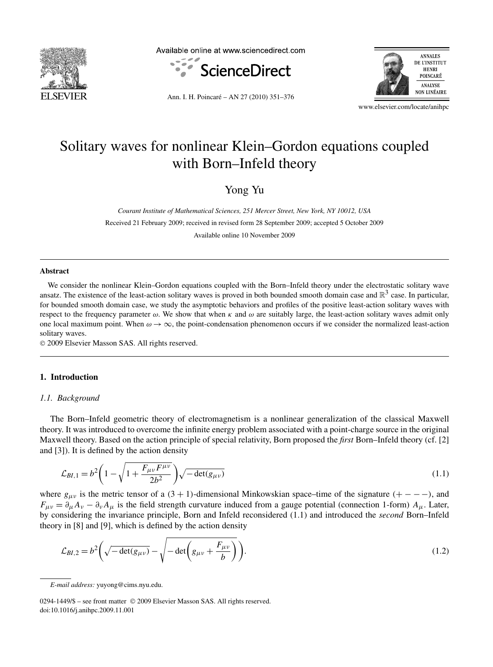

Available online at www.sciencedirect.com





Ann. I. H. Poincaré – AN 27 (2010) 351–376

www.elsevier.com/locate/anihpc

# Solitary waves for nonlinear Klein–Gordon equations coupled with Born–Infeld theory

Yong Yu

*Courant Institute of Mathematical Sciences, 251 Mercer Street, New York, NY 10012, USA*

Received 21 February 2009; received in revised form 28 September 2009; accepted 5 October 2009

Available online 10 November 2009

#### **Abstract**

We consider the nonlinear Klein–Gordon equations coupled with the Born–Infeld theory under the electrostatic solitary wave ansatz. The existence of the least-action solitary waves is proved in both bounded smooth domain case and  $\mathbb{R}^3$  case. In particular, for bounded smooth domain case, we study the asymptotic behaviors and profiles of the positive least-action solitary waves with respect to the frequency parameter *ω*. We show that when *κ* and *ω* are suitably large, the least-action solitary waves admit only one local maximum point. When  $\omega \to \infty$ , the point-condensation phenomenon occurs if we consider the normalized least-action solitary waves.

© 2009 Elsevier Masson SAS. All rights reserved.

## **1. Introduction**

#### *1.1. Background*

The Born–Infeld geometric theory of electromagnetism is a nonlinear generalization of the classical Maxwell theory. It was introduced to overcome the infinite energy problem associated with a point-charge source in the original Maxwell theory. Based on the action principle of special relativity, Born proposed the *first* Born–Infeld theory (cf. [2] and [3]). It is defined by the action density

$$
\mathcal{L}_{BI,1} = b^2 \left( 1 - \sqrt{1 + \frac{F_{\mu\nu} F^{\mu\nu}}{2b^2}} \right) \sqrt{-\det(g_{\mu\nu})}
$$
\n(1.1)

where  $g_{\mu\nu}$  is the metric tensor of a  $(3 + 1)$ -dimensional Minkowskian space–time of the signature  $(+--$ *-* $)$ , and  $F_{\mu\nu} = \partial_{\mu}A_{\nu} - \partial_{\nu}A_{\mu}$  is the field strength curvature induced from a gauge potential (connection 1-form)  $A_{\mu}$ . Later, by considering the invariance principle, Born and Infeld reconsidered (1.1) and introduced the *second* Born–Infeld theory in [8] and [9], which is defined by the action density

$$
\mathcal{L}_{BI,2} = b^2 \left( \sqrt{-\det(g_{\mu\nu})} - \sqrt{-\det\left(g_{\mu\nu} + \frac{F_{\mu\nu}}{b}\right)} \right). \tag{1.2}
$$

*E-mail address:* yuyong@cims.nyu.edu.

<sup>0294-1449/\$ –</sup> see front matter © 2009 Elsevier Masson SAS. All rights reserved. doi:10.1016/j.anihpc.2009.11.001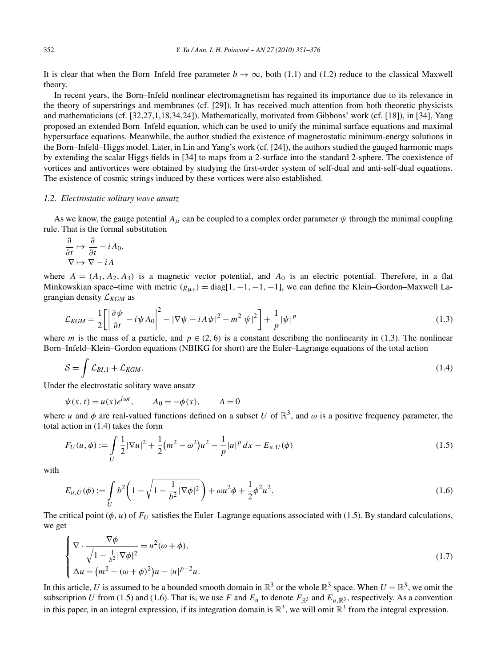It is clear that when the Born–Infeld free parameter  $b \to \infty$ , both (1.1) and (1.2) reduce to the classical Maxwell theory.

In recent years, the Born–Infeld nonlinear electromagnetism has regained its importance due to its relevance in the theory of superstrings and membranes (cf. [29]). It has received much attention from both theoretic physicists and mathematicians (cf. [32,27,1,18,34,24]). Mathematically, motivated from Gibbons' work (cf. [18]), in [34], Yang proposed an extended Born–Infeld equation, which can be used to unify the minimal surface equations and maximal hypersurface equations. Meanwhile, the author studied the existence of magnetostatic minimum-energy solutions in the Born–Infeld–Higgs model. Later, in Lin and Yang's work (cf. [24]), the authors studied the gauged harmonic maps by extending the scalar Higgs fields in [34] to maps from a 2-surface into the standard 2-sphere. The coexistence of vortices and antivortices were obtained by studying the first-order system of self-dual and anti-self-dual equations. The existence of cosmic strings induced by these vortices were also established.

## *1.2. Electrostatic solitary wave ansatz*

As we know, the gauge potential  $A_\mu$  can be coupled to a complex order parameter  $\psi$  through the minimal coupling rule. That is the formal substitution

$$
\frac{\partial}{\partial t} \mapsto \frac{\partial}{\partial t} - iA_0,
$$
  

$$
\nabla \mapsto \nabla - iA
$$

where  $A = (A_1, A_2, A_3)$  is a magnetic vector potential, and  $A_0$  is an electric potential. Therefore, in a flat Minkowskian space–time with metric  $(g_{\mu\nu}) = \text{diag}[1, -1, -1, -1]$ , we can define the Klein–Gordon–Maxwell Lagrangian density L*KGM* as

$$
\mathcal{L}_{KGM} = \frac{1}{2} \left[ \left| \frac{\partial \psi}{\partial t} - i \psi A_0 \right|^2 - |\nabla \psi - i A \psi|^2 - m^2 |\psi|^2 \right] + \frac{1}{p} |\psi|^p \tag{1.3}
$$

where *m* is the mass of a particle, and  $p \in (2, 6)$  is a constant describing the nonlinearity in (1.3). The nonlinear Born–Infeld–Klein–Gordon equations (NBIKG for short) are the Euler–Lagrange equations of the total action

$$
S = \int \mathcal{L}_{BI,1} + \mathcal{L}_{KGM}.\tag{1.4}
$$

Under the electrostatic solitary wave ansatz

$$
\psi(x,t) = u(x)e^{i\omega t}, \qquad A_0 = -\phi(x), \qquad A = 0
$$

where *u* and  $\phi$  are real-valued functions defined on a subset *U* of  $\mathbb{R}^3$ , and  $\omega$  is a positive frequency parameter, the total action in (1.4) takes the form

$$
F_U(u,\phi) := \int\limits_U \frac{1}{2} |\nabla u|^2 + \frac{1}{2} (m^2 - \omega^2) u^2 - \frac{1}{p} |u|^p \, dx - E_{u,U}(\phi) \tag{1.5}
$$

with

$$
E_{u,U}(\phi) := \int_{U} b^2 \left( 1 - \sqrt{1 - \frac{1}{b^2} |\nabla \phi|^2} \right) + \omega u^2 \phi + \frac{1}{2} \phi^2 u^2.
$$
 (1.6)

The critical point  $(\phi, u)$  of  $F_U$  satisfies the Euler–Lagrange equations associated with (1.5). By standard calculations, we get

$$
\begin{cases}\n\nabla \cdot \frac{\nabla \phi}{\sqrt{1 - \frac{1}{b^2} |\nabla \phi|^2}} = u^2(\omega + \phi), \\
\Delta u = (m^2 - (\omega + \phi)^2)u - |u|^{p-2}u.\n\end{cases}
$$
\n(1.7)

In this article, *U* is assumed to be a bounded smooth domain in  $\mathbb{R}^3$  or the whole  $\mathbb{R}^3$  space. When  $U = \mathbb{R}^3$ , we omit the subscription *U* from (1.5) and (1.6). That is, we use *F* and  $E_u$  to denote  $F_{\mathbb{R}^3}$  and  $E_u$ <sub>*R*<sup>3</sup></sub>, respectively. As a convention in this paper, in an integral expression, if its integration domain is  $\mathbb{R}^3$ , we will omit  $\mathbb{R}^3$  from the integral expression.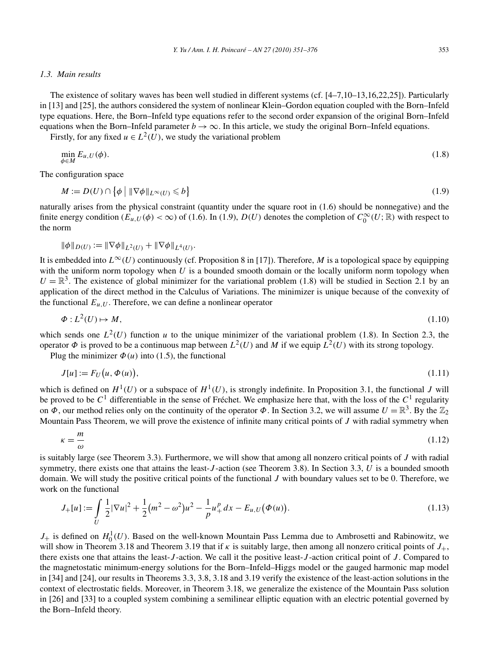## *1.3. Main results*

The existence of solitary waves has been well studied in different systems (cf. [4–7,10–13,16,22,25]). Particularly in [13] and [25], the authors considered the system of nonlinear Klein–Gordon equation coupled with the Born–Infeld type equations. Here, the Born–Infeld type equations refer to the second order expansion of the original Born–Infeld equations when the Born–Infeld parameter  $b \to \infty$ . In this article, we study the original Born–Infeld equations.

Firstly, for any fixed  $u \in L^2(U)$ , we study the variational problem

$$
\min_{\phi \in M} E_{u,U}(\phi). \tag{1.8}
$$

The configuration space

$$
M := D(U) \cap \left\{ \phi \mid \|\nabla \phi\|_{L^{\infty}(U)} \leqslant b \right\} \tag{1.9}
$$

naturally arises from the physical constraint (quantity under the square root in (1.6) should be nonnegative) and the finite energy condition  $(E_{u,U}(\phi) < \infty)$  of (1.6). In (1.9),  $D(U)$  denotes the completion of  $C_0^{\infty}(U;\mathbb{R})$  with respect to the norm

$$
\|\phi\|_{D(U)} := \|\nabla\phi\|_{L^2(U)} + \|\nabla\phi\|_{L^4(U)}.
$$

It is embedded into  $L^{\infty}(U)$  continuously (cf. Proposition 8 in [17]). Therefore, *M* is a topological space by equipping with the uniform norm topology when *U* is a bounded smooth domain or the locally uniform norm topology when  $U = \mathbb{R}^3$ . The existence of global minimizer for the variational problem (1.8) will be studied in Section 2.1 by an application of the direct method in the Calculus of Variations. The minimizer is unique because of the convexity of the functional  $E_{u,U}$ . Therefore, we can define a nonlinear operator

$$
\Phi: L^2(U) \mapsto M,\tag{1.10}
$$

which sends one  $L^2(U)$  function *u* to the unique minimizer of the variational problem (1.8). In Section 2.3, the operator  $\Phi$  is proved to be a continuous map between  $L^2(U)$  and M if we equip  $L^2(U)$  with its strong topology.

Plug the minimizer  $\Phi(u)$  into (1.5), the functional

$$
J[u] := F_U(u, \Phi(u)), \tag{1.11}
$$

which is defined on  $H^1(U)$  or a subspace of  $H^1(U)$ , is strongly indefinite. In Proposition 3.1, the functional *J* will be proved to be *C*<sup>1</sup> differentiable in the sense of Fréchet. We emphasize here that, with the loss of the *C*<sup>1</sup> regularity on  $\Phi$ , our method relies only on the continuity of the operator  $\Phi$ . In Section 3.2, we will assume  $U = \mathbb{R}^3$ . By the  $\mathbb{Z}_2$ Mountain Pass Theorem, we will prove the existence of infinite many critical points of *J* with radial symmetry when

$$
\kappa = \frac{m}{\omega} \tag{1.12}
$$

is suitably large (see Theorem 3.3). Furthermore, we will show that among all nonzero critical points of *J* with radial symmetry, there exists one that attains the least-*J* -action (see Theorem 3.8). In Section 3.3, *U* is a bounded smooth domain. We will study the positive critical points of the functional *J* with boundary values set to be 0. Therefore, we work on the functional

$$
J_{+}[u] := \int_{U} \frac{1}{2} |\nabla u|^{2} + \frac{1}{2} (m^{2} - \omega^{2}) u^{2} - \frac{1}{p} u_{+}^{p} dx - E_{u,U}(\Phi(u)).
$$
\n(1.13)

 $J_+$  is defined on  $H_0^1(U)$ . Based on the well-known Mountain Pass Lemma due to Ambrosetti and Rabinowitz, we will show in Theorem 3.18 and Theorem 3.19 that if *κ* is suitably large, then among all nonzero critical points of *J*+, there exists one that attains the least-*J* -action. We call it the positive least-*J* -action critical point of *J* . Compared to the magnetostatic minimum-energy solutions for the Born–Infeld–Higgs model or the gauged harmonic map model in [34] and [24], our results in Theorems 3.3, 3.8, 3.18 and 3.19 verify the existence of the least-action solutions in the context of electrostatic fields. Moreover, in Theorem 3.18, we generalize the existence of the Mountain Pass solution in [26] and [33] to a coupled system combining a semilinear elliptic equation with an electric potential governed by the Born–Infeld theory.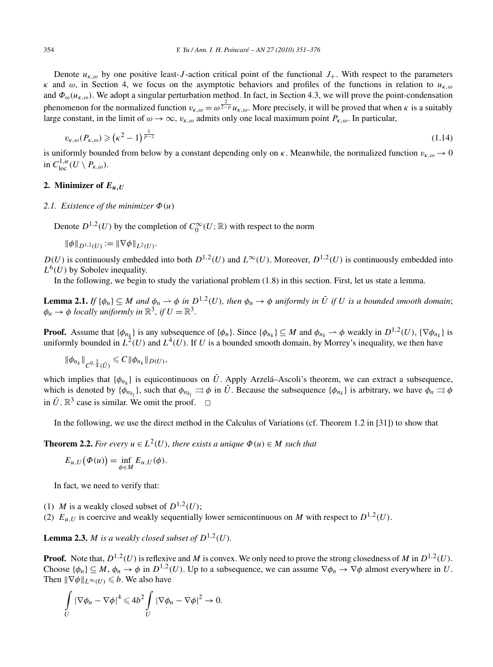Denote  $u_{k,\omega}$  by one positive least-*J*-action critical point of the functional  $J_+$ . With respect to the parameters *κ* and *ω*, in Section 4, we focus on the asymptotic behaviors and profiles of the functions in relation to *uκ,ω* and  $\Phi_{\omega}(u_{k,\omega})$ . We adopt a singular perturbation method. In fact, in Section 4.3, we will prove the point-condensation phenomenon for the normalized function  $v_{k,\omega} = \omega^{\frac{2}{2-p}} u_{k,\omega}$ . More precisely, it will be proved that when *κ* is a suitably large constant, in the limit of  $\omega \to \infty$ ,  $v_{\kappa,\omega}$  admits only one local maximum point  $P_{\kappa,\omega}$ . In particular,

$$
v_{\kappa,\omega}(P_{\kappa,\omega}) \geqslant (\kappa^2 - 1)^{\frac{1}{p-2}} \tag{1.14}
$$

is uniformly bounded from below by a constant depending only on  $\kappa$ . Meanwhile, the normalized function  $v_{\kappa,\omega} \to 0$ in  $C^{1,\alpha}_{\text{loc}}(U \setminus P_{\kappa,\omega}).$ 

# **2. Minimizer of** *Eu,U*

## *2.1. Existence of the minimizer Φ(u)*

Denote  $D^{1,2}(U)$  by the completion of  $C_0^{\infty}(U;\mathbb{R})$  with respect to the norm

 $\|\phi\|_{D^{1,2}(U)} := \|\nabla \phi\|_{L^2(U)}.$ 

*D(U)* is continuously embedded into both  $D^{1,2}(U)$  and  $L^{\infty}(U)$ . Moreover,  $D^{1,2}(U)$  is continuously embedded into  $L^{6}(U)$  by Sobolev inequality.

In the following, we begin to study the variational problem (1.8) in this section. First, let us state a lemma.

**Lemma 2.1.** If  $\{\phi_n\} \subseteq M$  and  $\phi_n \to \phi$  in  $D^{1,2}(U)$ , then  $\phi_n \to \phi$  uniformly in  $\overline{U}$  if U is a bounded smooth domain;  $\phi_n \to \phi$  *locally uniformly in*  $\mathbb{R}^3$ *, if*  $U = \mathbb{R}^3$ *.* 

**Proof.** Assume that  $\{\phi_{n_k}\}$  is any subsequence of  $\{\phi_n\}$ . Since  $\{\phi_{n_k}\} \subseteq M$  and  $\phi_{n_k} \to \phi$  weakly in  $D^{1,2}(U)$ ,  $\{\nabla \phi_{n_k}\}$  is uniformly bounded in  $L^2(U)$  and  $L^4(U)$ . If *U* is a bounded smooth domain, by Morrey's inequality, we then have

$$
\|\phi_{n_k}\|_{C^{0,\frac{1}{4}}(\bar{U})}\leq C\|\phi_{n_k}\|_{D(U)},
$$

which implies that  $\{\phi_{n_k}\}$  is equicontinuous on  $\bar{U}$ . Apply Arzelá–Ascoli's theorem, we can extract a subsequence, which is denoted by  $\{\phi_{n_k}\}\$ , such that  $\phi_{n_k} \rightrightarrows \phi$  in  $\bar{U}$ . Because the subsequence  $\{\phi_{n_k}\}\$ is arbitrary, we have  $\phi_n \rightrightarrows \phi$ in  $\bar{U}$ .  $\mathbb{R}^3$  case is similar. We omit the proof.  $\Box$ 

In the following, we use the direct method in the Calculus of Variations (cf. Theorem 1.2 in [31]) to show that

**Theorem 2.2.** For every  $u \in L^2(U)$ , there exists a unique  $\Phi(u) \in M$  such that

$$
E_{u,U}(\Phi(u)) = \inf_{\phi \in M} E_{u,U}(\phi).
$$

In fact, we need to verify that:

- (1) *M* is a weakly closed subset of  $D^{1,2}(U)$ ;
- (2)  $E_{u,U}$  is coercive and weakly sequentially lower semicontinuous on *M* with respect to  $D^{1,2}(U)$ .

**Lemma 2.3.** *M is a weakly closed subset of*  $D^{1,2}(U)$ *.* 

**Proof.** Note that,  $D^{1,2}(U)$  is reflexive and *M* is convex. We only need to prove the strong closedness of *M* in  $D^{1,2}(U)$ . Choose  $\{\phi_n\} \subseteq M$ ,  $\phi_n \to \phi$  in  $D^{1,2}(U)$ . Up to a subsequence, we can assume  $\nabla \phi_n \to \nabla \phi$  almost everywhere in *U*. Then  $\|\nabla \phi\|_{L^{\infty}(U)} \leq b$ . We also have

$$
\int\limits_U |\nabla \phi_n - \nabla \phi|^4 \leq 4b^2 \int\limits_U |\nabla \phi_n - \nabla \phi|^2 \to 0.
$$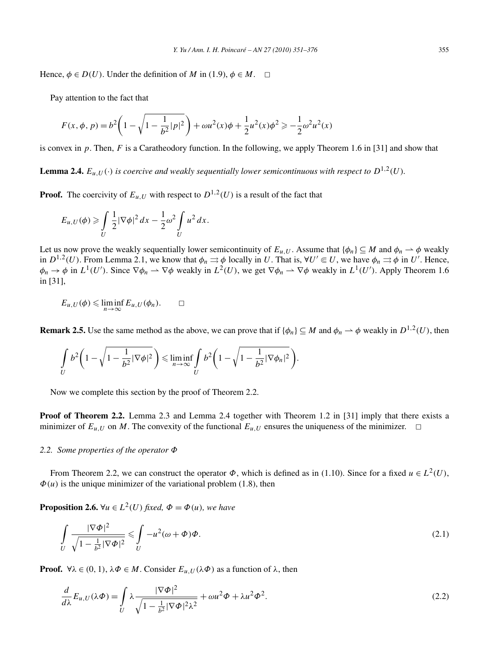Hence,  $\phi \in D(U)$ . Under the definition of *M* in (1.9),  $\phi \in M$ .  $\Box$ 

Pay attention to the fact that

$$
F(x, \phi, p) = b^2 \left( 1 - \sqrt{1 - \frac{1}{b^2} |p|^2} \right) + \omega u^2(x) \phi + \frac{1}{2} u^2(x) \phi^2 \ge -\frac{1}{2} \omega^2 u^2(x)
$$

is convex in  $p$ . Then,  $F$  is a Caratheodory function. In the following, we apply Theorem 1.6 in [31] and show that

**Lemma 2.4.**  $E_{u,U}(\cdot)$  is coercive and weakly sequentially lower semicontinuous with respect to  $D^{1,2}(U)$ *.* 

**Proof.** The coercivity of  $E_{u,U}$  with respect to  $D^{1,2}(U)$  is a result of the fact that

$$
E_{u,U}(\phi) \geqslant \int\limits_U \frac{1}{2} |\nabla \phi|^2 \, dx - \frac{1}{2} \omega^2 \int\limits_U u^2 \, dx.
$$

Let us now prove the weakly sequentially lower semicontinuity of  $E_{u,U}$ . Assume that  $\{\phi_n\} \subseteq M$  and  $\phi_n \to \phi$  weakly in  $D^{1,2}(U)$ . From Lemma 2.1, we know that  $\phi_n \rightrightarrows \phi$  locally in *U*. That is,  $\forall U' \in U$ , we have  $\phi_n \rightrightarrows \phi$  in *U'*. Hence,  $\phi_n \to \phi$  in  $L^1(U')$ . Since  $\nabla \phi_n \to \nabla \phi$  weakly in  $L^2(U)$ , we get  $\nabla \phi_n \to \nabla \phi$  weakly in  $L^1(U')$ . Apply Theorem 1.6 in [31],

$$
E_{u,U}(\phi) \leqslant \liminf_{n \to \infty} E_{u,U}(\phi_n). \qquad \Box
$$

**Remark 2.5.** Use the same method as the above, we can prove that if  $\{\phi_n\} \subseteq M$  and  $\phi_n \to \phi$  weakly in  $D^{1,2}(U)$ , then

$$
\int\limits_U b^2 \bigg(1 - \sqrt{1 - \frac{1}{b^2} |\nabla \phi|^2}\bigg) \leqslant \liminf\limits_{n \to \infty} \int\limits_U b^2 \bigg(1 - \sqrt{1 - \frac{1}{b^2} |\nabla \phi_n|^2}\bigg).
$$

Now we complete this section by the proof of Theorem 2.2.

**Proof of Theorem 2.2.** Lemma 2.3 and Lemma 2.4 together with Theorem 1.2 in [31] imply that there exists a minimizer of  $E_{u,U}$  on *M*. The convexity of the functional  $E_{u,U}$  ensures the uniqueness of the minimizer.  $\Box$ 

#### *2.2. Some properties of the operator Φ*

From Theorem 2.2, we can construct the operator  $\Phi$ , which is defined as in (1.10). Since for a fixed  $u \in L^2(U)$ ,  $\Phi(u)$  is the unique minimizer of the variational problem (1.8), then

**Proposition 2.6.**  $\forall u \in L^2(U)$  *fixed,*  $\Phi = \Phi(u)$ *, we have* 

$$
\int_{U} \frac{|\nabla \Phi|^{2}}{\sqrt{1 - \frac{1}{b^{2}}|\nabla \Phi|^{2}}} \leq \int_{U} -u^{2}(\omega + \Phi)\Phi.
$$
\n(2.1)

**Proof.**  $\forall \lambda \in (0, 1), \lambda \Phi \in M$ . Consider  $E_{u,U}(\lambda \Phi)$  as a function of  $\lambda$ , then

$$
\frac{d}{d\lambda}E_{u,U}(\lambda\Phi) = \int\limits_U \lambda \frac{|\nabla\Phi|^2}{\sqrt{1 - \frac{1}{b^2}|\nabla\Phi|^2 \lambda^2}} + \omega u^2 \Phi + \lambda u^2 \Phi^2.
$$
\n(2.2)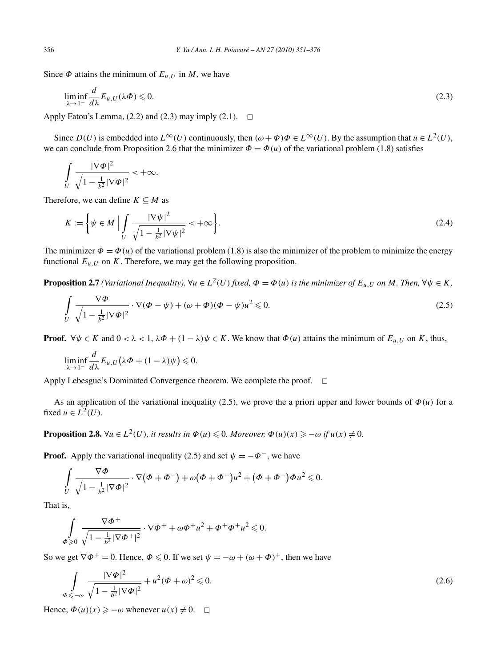Since  $\Phi$  attains the minimum of  $E_{u,U}$  in *M*, we have

$$
\liminf_{\lambda \to 1^{-}} \frac{d}{d\lambda} E_{u,U}(\lambda \Phi) \leq 0.
$$
\n(2.3)

Apply Fatou's Lemma,  $(2.2)$  and  $(2.3)$  may imply  $(2.1)$ .  $\Box$ 

Since  $D(U)$  is embedded into  $L^{\infty}(U)$  continuously, then  $(\omega + \Phi)\Phi \in L^{\infty}(U)$ . By the assumption that  $u \in L^2(U)$ , we can conclude from Proposition 2.6 that the minimizer  $\Phi = \Phi(u)$  of the variational problem (1.8) satisfies

$$
\int\limits_U \frac{|\nabla\Phi|^2}{\sqrt{1-\frac{1}{b^2}|\nabla\Phi|^2}} < +\infty.
$$

Therefore, we can define  $K \subseteq M$  as

$$
K := \left\{ \psi \in M \mid \int\limits_{U} \frac{|\nabla \psi|^2}{\sqrt{1 - \frac{1}{b^2} |\nabla \psi|^2}} < +\infty \right\}.
$$
\n(2.4)

The minimizer  $\Phi = \Phi(u)$  of the variational problem (1.8) is also the minimizer of the problem to minimize the energy functional  $E_{u,U}$  on  $K$ . Therefore, we may get the following proposition.

**Proposition 2.7** (Variational Inequality).  $\forall u \in L^2(U)$  fixed,  $\Phi = \Phi(u)$  is the minimizer of  $E_{u, U}$  on M. Then,  $\forall \psi \in K$ ,

$$
\int_{U} \frac{\nabla \Phi}{\sqrt{1 - \frac{1}{b^2} |\nabla \Phi|^2}} \cdot \nabla (\Phi - \psi) + (\omega + \Phi)(\Phi - \psi)u^2 \le 0.
$$
\n(2.5)

**Proof.**  $\forall \psi \in K$  and  $0 < \lambda < 1$ ,  $\lambda \Phi + (1 - \lambda)\psi \in K$ . We know that  $\Phi(u)$  attains the minimum of  $E_{u,U}$  on *K*, thus,

$$
\liminf_{\lambda \to 1^-} \frac{d}{d\lambda} E_{u,U} \big( \lambda \Phi + (1 - \lambda) \psi \big) \leq 0.
$$

Apply Lebesgue's Dominated Convergence theorem. We complete the proof.  $\Box$ 

As an application of the variational inequality (2.5), we prove the a priori upper and lower bounds of  $\Phi(u)$  for a fixed  $u \in L^2(U)$ .

**Proposition 2.8.**  $\forall u \in L^2(U)$ , it results in  $\Phi(u) \leq 0$ . Moreover,  $\Phi(u)(x) \geq -\omega$  if  $u(x) \neq 0$ .

**Proof.** Apply the variational inequality (2.5) and set  $\psi = -\Phi^-$ , we have

$$
\int\limits_U \frac{\nabla \Phi}{\sqrt{1-\frac{1}{b^2}|\nabla \Phi|^2}} \cdot \nabla (\Phi+\Phi^-)+\omega(\Phi+\Phi^-)u^2+(\Phi+\Phi^-)\Phi u^2\leq 0.
$$

That is,

$$
\int\limits_{\Phi\geqslant 0}\frac{\nabla\varPhi^+}{\sqrt{1-\frac{1}{b^2}|\nabla\varPhi^+|^2}}\cdot\nabla\varPhi^++\omega\varPhi^+u^2+\varPhi^+\varPhi^+u^2\leqslant 0.
$$

So we get  $\nabla \Phi^+ = 0$ . Hence,  $\Phi \le 0$ . If we set  $\psi = -\omega + (\omega + \Phi)^+$ , then we have

$$
\int_{\Phi \leq -\omega} \frac{|\nabla \Phi|^2}{\sqrt{1 - \frac{1}{b^2} |\nabla \Phi|^2}} + u^2 (\Phi + \omega)^2 \leq 0.
$$
\n(2.6)

Hence,  $\Phi(u)(x) \ge -\omega$  whenever  $u(x) \ne 0$ .  $\Box$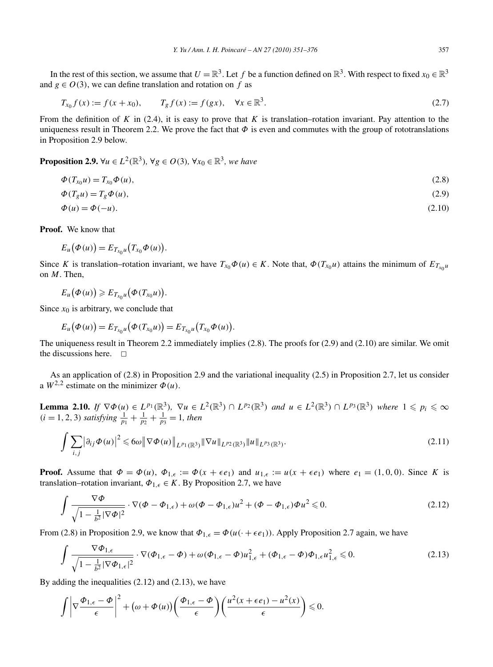In the rest of this section, we assume that  $U = \mathbb{R}^3$ . Let f be a function defined on  $\mathbb{R}^3$ . With respect to fixed  $x_0 \in \mathbb{R}^3$ and  $g \in O(3)$ , we can define translation and rotation on f as

$$
T_{x_0} f(x) := f(x + x_0), \qquad T_g f(x) := f(gx), \quad \forall x \in \mathbb{R}^3.
$$
 (2.7)

From the definition of  $K$  in (2.4), it is easy to prove that  $K$  is translation–rotation invariant. Pay attention to the uniqueness result in Theorem 2.2. We prove the fact that  $\Phi$  is even and commutes with the group of rototranslations in Proposition 2.9 below.

**Proposition 2.9.**  $\forall u \in L^2(\mathbb{R}^3)$ ,  $\forall g \in O(3)$ ,  $\forall x_0 \in \mathbb{R}^3$ , we have

$$
\Phi(T_{x_0}u) = T_{x_0}\Phi(u),\tag{2.8}
$$

$$
\Phi(T_g u) = T_g \Phi(u),\tag{2.9}
$$
\n
$$
\Phi(u) = \Phi(-u).
$$
\n
$$
(2.10)
$$

**Proof.** We know that

$$
E_u(\Phi(u))=E_{T_{x_0}u}(T_{x_0}\Phi(u)).
$$

Since *K* is translation–rotation invariant, we have  $T_{x_0}\Phi(u) \in K$ . Note that,  $\Phi(T_{x_0}u)$  attains the minimum of  $E_{T_{x_0}u}$ on *M*. Then,

$$
E_u(\Phi(u))\geqslant E_{T_{x_0}u}(\Phi(T_{x_0}u)).
$$

Since  $x_0$  is arbitrary, we conclude that

$$
E_u(\Phi(u)) = E_{T_{x_0}u}(\Phi(T_{x_0}u)) = E_{T_{x_0}u}(T_{x_0}\Phi(u)).
$$

The uniqueness result in Theorem 2.2 immediately implies (2.8). The proofs for (2.9) and (2.10) are similar. We omit the discussions here.  $\square$ 

As an application of (2.8) in Proposition 2.9 and the variational inequality (2.5) in Proposition 2.7, let us consider a  $W^{2,2}$  estimate on the minimizer  $\Phi(u)$ .

**Lemma 2.10.** If  $\nabla \Phi(u) \in L^{p_1}(\mathbb{R}^3)$ ,  $\nabla u \in L^2(\mathbb{R}^3) \cap L^{p_2}(\mathbb{R}^3)$  and  $u \in L^2(\mathbb{R}^3) \cap L^{p_3}(\mathbb{R}^3)$  where  $1 \leqslant p_i \leqslant \infty$  $(i = 1, 2, 3)$  *satisfying*  $\frac{1}{p_1} + \frac{1}{p_2} + \frac{1}{p_3} = 1$ *, then* 

$$
\int \sum_{i,j} |\partial_{ij} \Phi(u)|^2 \leqslant 6\omega \|\nabla \Phi(u)\|_{L^{p_1}(\mathbb{R}^3)} \|\nabla u\|_{L^{p_2}(\mathbb{R}^3)} \|u\|_{L^{p_3}(\mathbb{R}^3)}.
$$
\n(2.11)

**Proof.** Assume that  $\Phi = \Phi(u)$ ,  $\Phi_{1,\epsilon} := \Phi(x + \epsilon e_1)$  and  $u_{1,\epsilon} := u(x + \epsilon e_1)$  where  $e_1 = (1,0,0)$ . Since K is translation–rotation invariant,  $\Phi_{1,\epsilon} \in K$ . By Proposition 2.7, we have

$$
\int \frac{\nabla \Phi}{\sqrt{1 - \frac{1}{b^2} |\nabla \Phi|^2}} \cdot \nabla (\Phi - \Phi_{1,\epsilon}) + \omega (\Phi - \Phi_{1,\epsilon}) u^2 + (\Phi - \Phi_{1,\epsilon}) \Phi u^2 \le 0.
$$
\n(2.12)

From (2.8) in Proposition 2.9, we know that  $\Phi_{1,\epsilon} = \Phi(u(\cdot + \epsilon e_1))$ . Apply Proposition 2.7 again, we have

$$
\int \frac{\nabla \Phi_{1,\epsilon}}{\sqrt{1 - \frac{1}{b^2} |\nabla \Phi_{1,\epsilon}|^2}} \cdot \nabla (\Phi_{1,\epsilon} - \Phi) + \omega (\Phi_{1,\epsilon} - \Phi) u_{1,\epsilon}^2 + (\Phi_{1,\epsilon} - \Phi) \Phi_{1,\epsilon} u_{1,\epsilon}^2 \le 0.
$$
\n(2.13)

By adding the inequalities (2.12) and (2.13), we have

$$
\int \left| \nabla \frac{\Phi_{1,\epsilon} - \Phi}{\epsilon} \right|^2 + (\omega + \Phi(u)) \left( \frac{\Phi_{1,\epsilon} - \Phi}{\epsilon} \right) \left( \frac{u^2(x + \epsilon e_1) - u^2(x)}{\epsilon} \right) \leq 0.
$$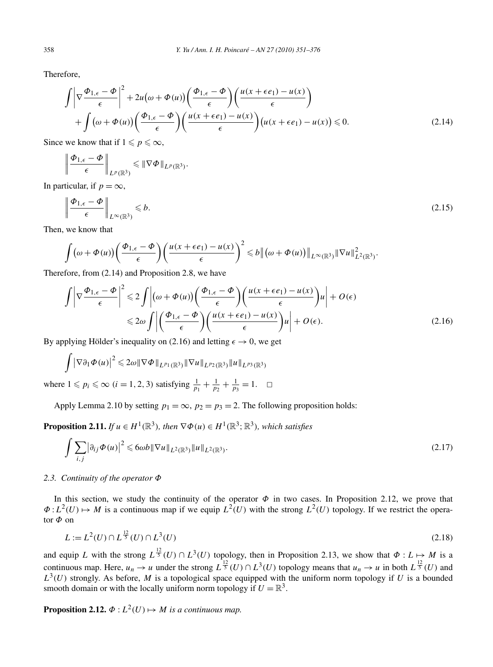Therefore,

$$
\int \left| \nabla \frac{\Phi_{1,\epsilon} - \Phi}{\epsilon} \right|^2 + 2u(\omega + \Phi(u)) \left( \frac{\Phi_{1,\epsilon} - \Phi}{\epsilon} \right) \left( \frac{u(x + \epsilon e_1) - u(x)}{\epsilon} \right) + \int (\omega + \Phi(u)) \left( \frac{\Phi_{1,\epsilon} - \Phi}{\epsilon} \right) \left( \frac{u(x + \epsilon e_1) - u(x)}{\epsilon} \right) (u(x + \epsilon e_1) - u(x)) \le 0.
$$
\n(2.14)

Since we know that if  $1 \leq p \leq \infty$ ,

$$
\left\|\frac{\Phi_{1,\epsilon}-\Phi}{\epsilon}\right\|_{L^p(\mathbb{R}^3)}\leqslant \|\nabla\Phi\|_{L^p(\mathbb{R}^3)}.
$$

In particular, if  $p = \infty$ ,

$$
\left\| \frac{\Phi_{1,\epsilon} - \Phi}{\epsilon} \right\|_{L^{\infty}(\mathbb{R}^3)} \leq b. \tag{2.15}
$$

Then, we know that

$$
\int \left( \omega + \Phi(u) \right) \left( \frac{\Phi_{1,\epsilon} - \Phi}{\epsilon} \right) \left( \frac{u(x + \epsilon e_1) - u(x)}{\epsilon} \right)^2 \leq b \left\| \left( \omega + \Phi(u) \right) \right\|_{L^{\infty}(\mathbb{R}^3)} \|\nabla u\|_{L^2(\mathbb{R}^3)}^2.
$$

Therefore, from (2.14) and Proposition 2.8, we have

$$
\int \left| \nabla \frac{\Phi_{1,\epsilon} - \Phi}{\epsilon} \right|^2 \leq 2 \int \left| (\omega + \Phi(u)) \left( \frac{\Phi_{1,\epsilon} - \Phi}{\epsilon} \right) \left( \frac{u(x + \epsilon e_1) - u(x)}{\epsilon} \right) u \right| + O(\epsilon)
$$
  

$$
\leq 2\omega \int \left| \left( \frac{\Phi_{1,\epsilon} - \Phi}{\epsilon} \right) \left( \frac{u(x + \epsilon e_1) - u(x)}{\epsilon} \right) u \right| + O(\epsilon).
$$
 (2.16)

By applying Hölder's inequality on (2.16) and letting  $\epsilon \to 0$ , we get

$$
\int |\nabla \partial_1 \Phi(u)|^2 \leq 2\omega \|\nabla \Phi\|_{L^{p_1}(\mathbb{R}^3)} \|\nabla u\|_{L^{p_2}(\mathbb{R}^3)} \|u\|_{L^{p_3}(\mathbb{R}^3)}
$$

where  $1 \leq p_i \leq \infty$   $(i = 1, 2, 3)$  satisfying  $\frac{1}{p_1} + \frac{1}{p_2} + \frac{1}{p_3} = 1$ .  $\Box$ 

Apply Lemma 2.10 by setting  $p_1 = \infty$ ,  $p_2 = p_3 = 2$ . The following proposition holds:

**Proposition 2.11.** *If*  $u \in H^1(\mathbb{R}^3)$ *, then*  $\nabla \Phi(u) \in H^1(\mathbb{R}^3; \mathbb{R}^3)$ *, which satisfies* 

$$
\int \sum_{i,j} \left| \partial_{ij} \Phi(u) \right|^2 \leqslant 6 \omega b \|\nabla u\|_{L^2(\mathbb{R}^3)} \|u\|_{L^2(\mathbb{R}^3)}.
$$
\n(2.17)

# *2.3. Continuity of the operator Φ*

In this section, we study the continuity of the operator  $\Phi$  in two cases. In Proposition 2.12, we prove that  $\Phi: L^2(U) \mapsto M$  is a continuous map if we equip  $L^2(U)$  with the strong  $L^2(U)$  topology. If we restrict the operator *Φ* on

$$
L := L^{2}(U) \cap L^{\frac{12}{5}}(U) \cap L^{3}(U)
$$
\n(2.18)

and equip *L* with the strong  $L^{\frac{12}{5}}(U) \cap L^3(U)$  topology, then in Proposition 2.13, we show that  $\Phi: L \mapsto M$  is a continuous map. Here,  $u_n \to u$  under the strong  $L^{\frac{12}{5}}(U) \cap L^3(U)$  topology means that  $u_n \to u$  in both  $L^{\frac{12}{5}}(U)$  and  $L^3(U)$  strongly. As before, *M* is a topological space equipped with the uniform norm topology if *U* is a bounded  $L^3(U)$ smooth domain or with the locally uniform norm topology if  $U = \mathbb{R}^3$ .

**Proposition 2.12.**  $\Phi: L^2(U) \mapsto M$  *is a continuous map.*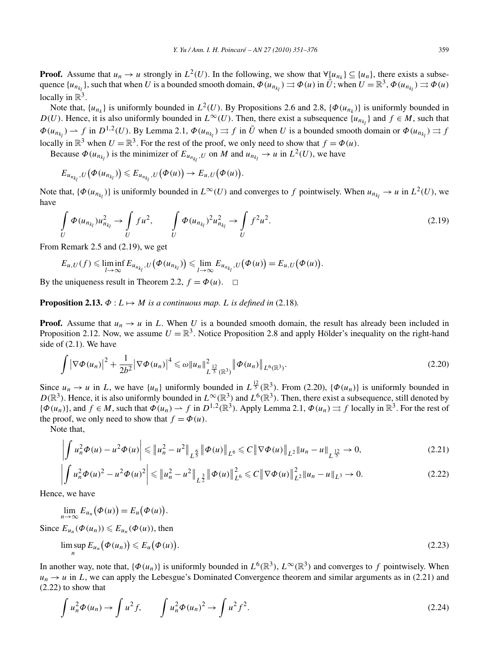**Proof.** Assume that  $u_n \to u$  strongly in  $L^2(U)$ . In the following, we show that  $\forall \{u_{n_k}\} \subseteq \{u_n\}$ , there exists a subsequence  $\{u_{n_{k_l}}\}$ , such that when *U* is a bounded smooth domain,  $\Phi(u_{n_{k_l}}) \rightrightarrows \Phi(u)$  in  $\bar{U}$ ; when  $U = \mathbb{R}^3$ ,  $\Phi(u_{n_{k_l}}) \rightrightarrows \Phi(u)$ locally in  $\mathbb{R}^3$ .

Note that,  $\{u_{n_k}\}$  is uniformly bounded in  $L^2(U)$ . By Propositions 2.6 and 2.8,  $\{\Phi(u_{n_k})\}$  is uniformly bounded in *D(U)*. Hence, it is also uniformly bounded in  $L^{\infty}(U)$ . Then, there exist a subsequence  $\{u_{n_{k}}\}$  and  $f \in M$ , such that  $\Phi(u_{n_{k_l}}) \to f$  in  $D^{1,2}(U)$ . By Lemma 2.1,  $\Phi(u_{n_{k_l}}) \to f$  in  $\bar{U}$  when *U* is a bounded smooth domain or  $\Phi(u_{n_{k_l}}) \to f$ locally in  $\mathbb{R}^3$  when  $U = \mathbb{R}^3$ . For the rest of the proof, we only need to show that  $f = \Phi(u)$ .

Because  $\Phi(u_{n_{k_l}})$  is the minimizer of  $E_{u_{n_{k_l}},U}$  on *M* and  $u_{n_{k_l}} \to u$  in  $L^2(U)$ , we have

$$
E_{u_{n_{k_l}},U}(\boldsymbol{\Phi}(u_{n_{k_l}}))\leqslant E_{u_{n_{k_l}},U}(\boldsymbol{\Phi}(u))\to E_{u,U}(\boldsymbol{\Phi}(u)).
$$

Note that,  $\{\Phi(u_{n_{k_l}})\}$  is uniformly bounded in  $L^{\infty}(U)$  and converges to *f* pointwisely. When  $u_{n_{k_l}} \to u$  in  $L^2(U)$ , we have

$$
\int_{U} \Phi(u_{n_{k_l}}) u_{n_{k_l}}^2 \to \int_{U} f u^2, \qquad \int_{U} \Phi(u_{n_{k_l}})^2 u_{n_{k_l}}^2 \to \int_{U} f^2 u^2. \tag{2.19}
$$

From Remark 2.5 and (2.19), we get

$$
E_{u,U}(f) \leq \liminf_{l \to \infty} E_{u_{n_{k_l}},U}(\Phi(u_{n_{k_l}})) \leq \lim_{l \to \infty} E_{u_{n_{k_l}},U}(\Phi(u)) = E_{u,U}(\Phi(u)).
$$

By the uniqueness result in Theorem 2.2,  $f = \Phi(u)$ .  $\Box$ 

**Proposition 2.13.**  $\Phi: L \mapsto M$  *is a continuous map. L is defined in* (2.18)*.* 

**Proof.** Assume that  $u_n \to u$  in *L*. When *U* is a bounded smooth domain, the result has already been included in Proposition 2.12. Now, we assume  $U = \mathbb{R}^3$ . Notice Proposition 2.8 and apply Hölder's inequality on the right-hand side of (2.1). We have

$$
\int |\nabla \Phi(u_n)|^2 + \frac{1}{2b^2} |\nabla \Phi(u_n)|^4 \leq \omega \|u_n\|_{L^{\frac{12}{5}}(\mathbb{R}^3)}^2 \|\Phi(u_n)\|_{L^6(\mathbb{R}^3)}.
$$
\n(2.20)

Since  $u_n \to u$  in *L*, we have  $\{u_n\}$  uniformly bounded in  $L^{\frac{12}{5}}(\mathbb{R}^3)$ . From (2.20),  $\{\Phi(u_n)\}$  is uniformly bounded in  $D(\mathbb{R}^3)$ . Hence, it is also uniformly bounded in  $L^\infty(\mathbb{R}^3)$  and  $L^6(\mathbb{R}^3)$ . Then, there exist a subsequence, still denoted by  ${\phi(u_n)}$ , and  $f \in M$ , such that  $\phi(u_n) \to f$  in  $D^{1,2}(\mathbb{R}^3)$ . Apply Lemma 2.1,  $\phi(u_n) \to f$  locally in  $\mathbb{R}^3$ . For the rest of the proof, we only need to show that  $f = \Phi(u)$ .

Note that,

$$
\left| \int u_n^2 \Phi(u) - u^2 \Phi(u) \right| \leq \| u_n^2 - u^2 \|_{L^{\frac{6}{5}}} \| \Phi(u) \|_{L^6} \leq C \| \nabla \Phi(u) \|_{L^2} \| u_n - u \|_{L^{\frac{12}{5}}} \to 0,
$$
\n(2.21)

$$
\left| \int u_n^2 \Phi(u)^2 - u^2 \Phi(u)^2 \right| \leq \| u_n^2 - u^2 \|_{L^{\frac{3}{2}}} \| \Phi(u) \|_{L^6}^2 \leq C \| \nabla \Phi(u) \|_{L^2}^2 \| u_n - u \|_{L^3} \to 0. \tag{2.22}
$$

Hence, we have

$$
\lim_{n\to\infty}E_{u_n}\big(\Phi(u)\big)=E_u\big(\Phi(u)\big).
$$

Since  $E_{u_n}(\Phi(u_n)) \leqslant E_{u_n}(\Phi(u))$ , then

$$
\limsup_{n} E_{u_n}(\Phi(u_n)) \leqslant E_u(\Phi(u)). \tag{2.23}
$$

In another way, note that,  $\{\Phi(u_n)\}$  is uniformly bounded in  $L^6(\mathbb{R}^3)$ ,  $L^\infty(\mathbb{R}^3)$  and converges to *f* pointwisely. When  $u_n \to u$  in *L*, we can apply the Lebesgue's Dominated Convergence theorem and similar arguments as in (2.21) and (2.22) to show that

$$
\int u_n^2 \Phi(u_n) \to \int u^2 f, \qquad \int u_n^2 \Phi(u_n)^2 \to \int u^2 f^2. \tag{2.24}
$$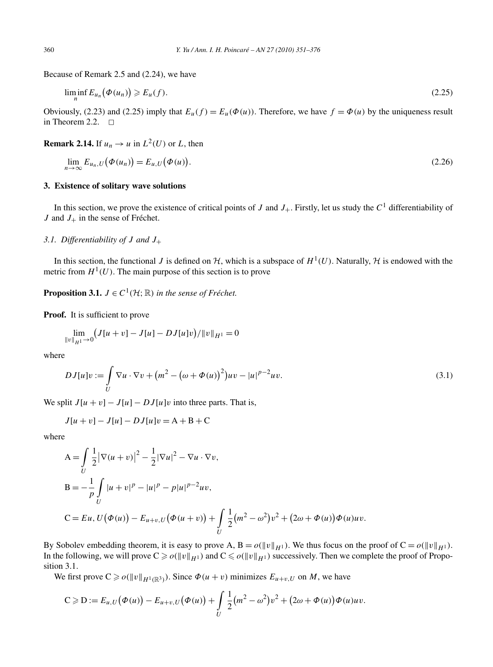Because of Remark 2.5 and (2.24), we have

$$
\liminf_{n} E_{u_n}(\Phi(u_n)) \ge E_u(f). \tag{2.25}
$$

Obviously, (2.23) and (2.25) imply that  $E_u(f) = E_u(\Phi(u))$ . Therefore, we have  $f = \Phi(u)$  by the uniqueness result in Theorem 2.2.  $\Box$ 

**Remark 2.14.** If  $u_n \to u$  in  $L^2(U)$  or *L*, then

$$
\lim_{n \to \infty} E_{u_n, U}(\Phi(u_n)) = E_{u, U}(\Phi(u)). \tag{2.26}
$$

# **3. Existence of solitary wave solutions**

In this section, we prove the existence of critical points of *J* and  $J_+$ . Firstly, let us study the  $C<sup>1</sup>$  differentiability of  $J$  and  $J_+$  in the sense of Fréchet.

*3.1. Differentiability of J and J*+

In this section, the functional *J* is defined on  $H$ , which is a subspace of  $H^1(U)$ . Naturally,  $H$  is endowed with the metric from  $H^1(U)$ . The main purpose of this section is to prove

**Proposition 3.1.**  $J \in C^1(\mathcal{H};\mathbb{R})$  *in the sense of Fréchet.* 

**Proof.** It is sufficient to prove

$$
\lim_{\|v\|_{H^{1}}\to 0} \left(J[u+v] - J[u] - DJ[u]v\right)/\|v\|_{H^{1}} = 0
$$

where

$$
DJ[u]v := \int_{U} \nabla u \cdot \nabla v + (m^2 - (\omega + \Phi(u))^2)uv - |u|^{p-2}uv.
$$
 (3.1)

We split  $J[u + v] - J[u] - DJ[u]v$  into three parts. That is,

$$
J[u + v] - J[u] - DJ[u]v = A + B + C
$$

where

$$
A = \int_{U} \frac{1}{2} |\nabla(u+v)|^{2} - \frac{1}{2} |\nabla u|^{2} - \nabla u \cdot \nabla v,
$$
  
\n
$$
B = -\frac{1}{p} \int_{U} |u+v|^{p} - |u|^{p} - p|u|^{p-2}uv,
$$
  
\n
$$
C = Eu, U(\Phi(u)) - E_{u+v,U}(\Phi(u+v)) + \int_{U} \frac{1}{2} (m^{2} - \omega^{2}) v^{2} + (2\omega + \Phi(u)) \Phi(u)uv.
$$

By Sobolev embedding theorem, it is easy to prove A,  $B = o(\|v\|_{H^1})$ . We thus focus on the proof of  $C = o(\|v\|_{H^1})$ . In the following, we will prove  $C \ge o(\|v\|_{H^1})$  and  $C \le o(\|v\|_{H^1})$  successively. Then we complete the proof of Proposition 3.1.

We first prove  $C \ge o(\|v\|_{H^1(\mathbb{R}^3)})$ . Since  $\Phi(u + v)$  minimizes  $E_{u+v,U}$  on *M*, we have

$$
C \geq D := E_{u,U}(\Phi(u)) - E_{u+v,U}(\Phi(u)) + \int_U \frac{1}{2}(m^2 - \omega^2)v^2 + (2\omega + \Phi(u))\Phi(u)uv.
$$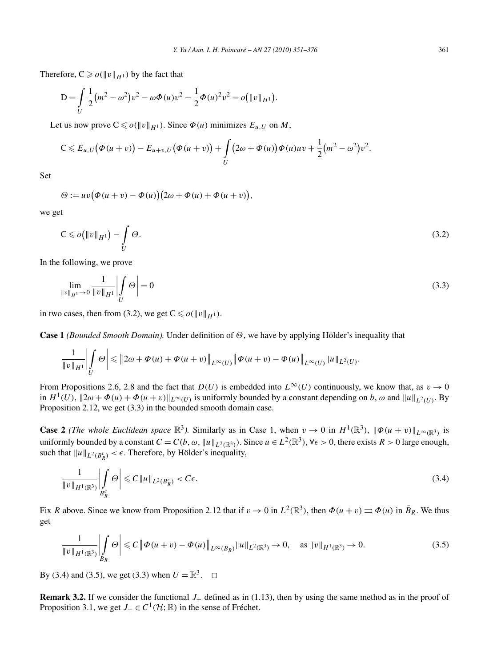Therefore,  $C \ge o(\|v\|_{H^1})$  by the fact that

$$
D = \int_{U} \frac{1}{2} (m^2 - \omega^2) v^2 - \omega \Phi(u) v^2 - \frac{1}{2} \Phi(u)^2 v^2 = o(||v||_{H^1}).
$$

Let us now prove  $C \leq \mathcal{O}(\Vert v \Vert_{H^1})$ . Since  $\Phi(u)$  minimizes  $E_{u,U}$  on  $M$ ,

$$
C\leqslant E_{u,U}\big(\Phi(u+v)\big)-E_{u+v,U}\big(\Phi(u+v)\big)+\int\limits_{U}\big(2\omega+\Phi(u)\big)\Phi(u)uv+\frac{1}{2}\big(m^2-\omega^2\big)v^2.
$$

Set

$$
\Theta := uv (\Phi(u+v) - \Phi(u)) (2\omega + \Phi(u) + \Phi(u+v)),
$$

we get

$$
C \leqslant o\big(\|v\|_{H^1}\big) - \int\limits_U \Theta. \tag{3.2}
$$

In the following, we prove

$$
\lim_{\|v\|_{H^{1}} \to 0} \frac{1}{\|v\|_{H^{1}}}\left| \int_{U} \Theta \right| = 0
$$
\n(3.3)

in two cases, then from (3.2), we get  $C \leq \mathcal{O}(\Vert v \Vert_{H^1})$ .

**Case 1** *(Bounded Smooth Domain).* Under definition of *Θ*, we have by applying Hölder's inequality that

$$
\frac{1}{\|v\|_{H^1}}\left|\int\limits_{U}\Theta\right|\leqslant \|2\omega+\Phi(u)+\Phi(u+v)\|_{L^{\infty}(U)}\|\Phi(u+v)-\Phi(u)\|_{L^{\infty}(U)}\|u\|_{L^2(U)}.
$$

From Propositions 2.6, 2.8 and the fact that  $D(U)$  is embedded into  $L^{\infty}(U)$  continuously, we know that, as  $v \to 0$ in  $H^1(U)$ ,  $\|2\omega + \Phi(u) + \Phi(u+v)\|_{L^\infty(U)}$  is uniformly bounded by a constant depending on *b*,  $\omega$  and  $\|u\|_{L^2(U)}$ . By Proposition 2.12, we get (3.3) in the bounded smooth domain case.

**Case 2** *(The whole Euclidean space*  $\mathbb{R}^3$ ). Similarly as in Case 1, when  $v \to 0$  in  $H^1(\mathbb{R}^3)$ ,  $\|\phi(u+v)\|_{L^\infty(\mathbb{R}^3)}$  is uniformly bounded by a constant  $C = C(b, \omega, ||u||_{L^2(\mathbb{R}^3)})$ . Since  $u \in L^2(\mathbb{R}^3)$ ,  $\forall \epsilon > 0$ , there exists  $R > 0$  large enough, such that  $||u||_{L^2(B_R^c)} < \epsilon$ . Therefore, by Hölder's inequality,

$$
\frac{1}{\|v\|_{H^1(\mathbb{R}^3)}} \left| \int\limits_{B_R^c} \Theta \right| \leqslant C \|u\|_{L^2(B_R^c)} < C\epsilon. \tag{3.4}
$$

Fix *R* above. Since we know from Proposition 2.12 that if  $v \to 0$  in  $L^2(\mathbb{R}^3)$ , then  $\Phi(u+v) \rightrightarrows \Phi(u)$  in  $\bar{B}_R$ . We thus get

$$
\frac{1}{\|v\|_{H^1(\mathbb{R}^3)}} \left| \int\limits_{B_R} \Theta \right| \leq C \left\| \Phi(u+v) - \Phi(u) \right\|_{L^\infty(\bar{B}_R)} \|u\|_{L^2(\mathbb{R}^3)} \to 0, \quad \text{as } \|v\|_{H^1(\mathbb{R}^3)} \to 0. \tag{3.5}
$$

By (3.4) and (3.5), we get (3.3) when  $U = \mathbb{R}^3$ .  $\Box$ 

**Remark 3.2.** If we consider the functional  $J_+$  defined as in (1.13), then by using the same method as in the proof of Proposition 3.1, we get  $J_+ \in C^1(\mathcal{H};\mathbb{R})$  in the sense of Fréchet.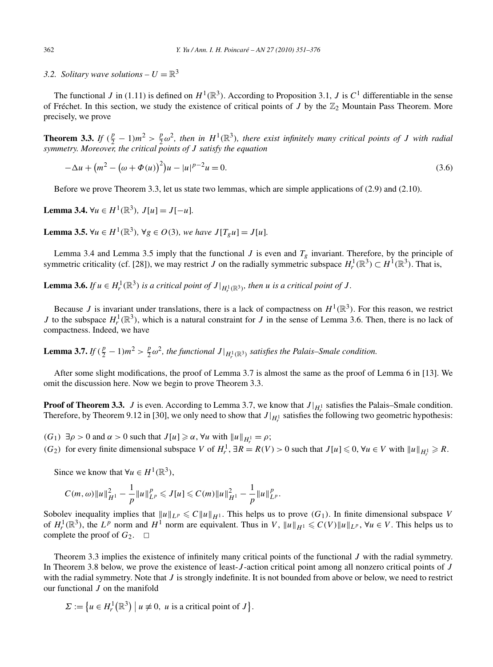*3.2. Solitary wave solutions –*  $U = \mathbb{R}^3$ 

The functional *J* in (1.11) is defined on  $H^1(\mathbb{R}^3)$ . According to Proposition 3.1, *J* is  $C^1$  differentiable in the sense of Fréchet. In this section, we study the existence of critical points of *J* by the  $\mathbb{Z}_2$  Mountain Pass Theorem. More precisely, we prove

**Theorem 3.3.** *If*  $(\frac{p}{2} - 1)m^2 > \frac{p}{2}\omega^2$ , then in  $H^1(\mathbb{R}^3)$ , there exist infinitely many critical points of *J* with radial *symmetry. Moreover, the critical points of J satisfy the equation*

$$
-\Delta u + (m^2 - (\omega + \Phi(u))^2)u - |u|^{p-2}u = 0.
$$
\n(3.6)

Before we prove Theorem 3.3, let us state two lemmas, which are simple applications of (2.9) and (2.10).

**Lemma 3.4.** ∀*u* ∈ *H*<sup>1</sup>( $\mathbb{R}^3$ )*, J*[*u*] = *J*[−*u*]*.* 

**Lemma 3.5.** ∀*u* ∈ *H*<sup>1</sup>( $\mathbb{R}^3$ )*,* ∀*g* ∈ *O*(3)*, we have J*[ $T_g u$ ] = *J*[ $u$ ]*.* 

Lemma 3.4 and Lemma 3.5 imply that the functional  $J$  is even and  $T_g$  invariant. Therefore, by the principle of symmetric criticality (cf. [28]), we may restrict *J* on the radially symmetric subspace  $H_r^1(\mathbb{R}^3) \subset H^1(\mathbb{R}^3)$ . That is,

**Lemma 3.6.** *If*  $u \in H_r^1(\mathbb{R}^3)$  *is a critical point of*  $J|_{H_r^1(\mathbb{R}^3)}$ *, then u is a critical point of*  $J$ *.* 

Because *J* is invariant under translations, there is a lack of compactness on  $H^1(\mathbb{R}^3)$ . For this reason, we restrict *J* to the subspace  $H_r^1(\mathbb{R}^3)$ , which is a natural constraint for *J* in the sense of Lemma 3.6. Then, there is no lack of compactness. Indeed, we have

**Lemma 3.7.** *If*  $(\frac{p}{2} - 1)m^2 > \frac{p}{2}\omega^2$ , the functional  $J|_{H_r^1(\mathbb{R}^3)}$  satisfies the Palais–Smale condition.

After some slight modifications, the proof of Lemma 3.7 is almost the same as the proof of Lemma 6 in [13]. We omit the discussion here. Now we begin to prove Theorem 3.3.

**Proof of Theorem 3.3.** *J* is even. According to Lemma 3.7, we know that  $J|_{H_1^1}$  satisfies the Palais–Smale condition. Therefore, by Theorem 9.12 in [30], we only need to show that  $J|_{H_r^1}$  satisfies the following two geometric hypothesis:

*(G*<sub>1</sub>)  $\exists \rho > 0$  and  $\alpha > 0$  such that  $J[u] \ge \alpha$ ,  $\forall u$  with  $||u||_{H_r^1} = \rho$ ;

*(G*<sub>2</sub>) for every finite dimensional subspace *V* of  $H_r^1$ , ∃*R* = *R*(*V*) > 0 such that  $J[u] \le 0$ , ∀*u* ∈ *V* with  $||u||_{H_r^1} \ge R$ .

Since we know that  $\forall u \in H^1(\mathbb{R}^3)$ ,

$$
C(m,\omega)\|u\|_{H^1}^2 - \frac{1}{p}\|u\|_{L^p}^p \leqslant J[u] \leqslant C(m)\|u\|_{H^1}^2 - \frac{1}{p}\|u\|_{L^p}^p.
$$

Sobolev inequality implies that  $||u||_{L^p} \le C||u||_{H^1}$ . This helps us to prove  $(G_1)$ . In finite dimensional subspace *V* of  $H_r^1(\mathbb{R}^3)$ , the  $L^p$  norm and  $H^1$  norm are equivalent. Thus in V,  $||u||_{H^1} \leqslant C(V) ||u||_{L^p}$ ,  $\forall u \in V$ . This helps us to complete the proof of  $G_2$ .  $\Box$ 

Theorem 3.3 implies the existence of infinitely many critical points of the functional *J* with the radial symmetry. In Theorem 3.8 below, we prove the existence of least-*J* -action critical point among all nonzero critical points of *J* with the radial symmetry. Note that *J* is strongly indefinite. It is not bounded from above or below, we need to restrict our functional *J* on the manifold

$$
\Sigma := \big\{ u \in H^1_r(\mathbb{R}^3) \mid u \neq 0, \ u \text{ is a critical point of } J \big\}.
$$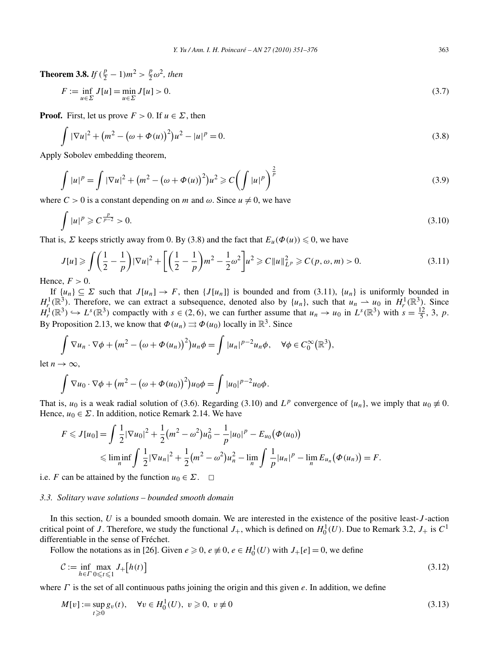**Theorem 3.8.** *If*  $(\frac{p}{2} - 1)m^2 > \frac{p}{2}\omega^2$ , then

$$
F := \inf_{u \in \Sigma} J[u] = \min_{u \in \Sigma} J[u] > 0.
$$
\n(3.7)

**Proof.** First, let us prove  $F > 0$ . If  $u \in \Sigma$ , then

$$
\int |\nabla u|^2 + (m^2 - (\omega + \Phi(u))^2)u^2 - |u|^p = 0.
$$
\n(3.8)

Apply Sobolev embedding theorem,

$$
\int |u|^p = \int |\nabla u|^2 + (m^2 - (\omega + \Phi(u))^2)u^2 \geq C \left( \int |u|^p \right)^{\frac{2}{p}}
$$
\n(3.9)

where  $C > 0$  is a constant depending on *m* and  $\omega$ . Since  $u \neq 0$ , we have

$$
\int |u|^p \geqslant C^{\frac{p}{p-2}} > 0. \tag{3.10}
$$

That is, *Σ* keeps strictly away from 0. By (3.8) and the fact that  $E_u(\Phi(u)) \leq 0$ , we have

$$
J[u] \ge \int \left(\frac{1}{2} - \frac{1}{p}\right) |\nabla u|^2 + \left[\left(\frac{1}{2} - \frac{1}{p}\right) m^2 - \frac{1}{2} \omega^2\right] u^2 \ge C \|u\|_{L^p}^2 \ge C(p, \omega, m) > 0. \tag{3.11}
$$

Hence,  $F > 0$ .

If  $\{u_n\} \subseteq \Sigma$  such that  $J[u_n] \to F$ , then  $\{J[u_n]\}$  is bounded and from (3.11),  $\{u_n\}$  is uniformly bounded in  $H_r^1(\mathbb{R}^3)$ . Therefore, we can extract a subsequence, denoted also by  $\{u_n\}$ , such that  $u_n \rightharpoonup u_0$  in  $H_r^1(\mathbb{R}^3)$ . Since  $H_r^1(\mathbb{R}^3) \hookrightarrow L^s(\mathbb{R}^3)$  compactly with  $s \in (2, 6)$ , we can further assume that  $u_n \to u_0$  in  $L^s(\mathbb{R}^3)$  with  $s = \frac{12}{5}$ , 3, p. By Proposition 2.13, we know that  $\Phi(u_n) \rightrightarrows \Phi(u_0)$  locally in  $\mathbb{R}^3$ . Since

$$
\int \nabla u_n \cdot \nabla \phi + (m^2 - (\omega + \Phi(u_n))^2) u_n \phi = \int |u_n|^{p-2} u_n \phi, \quad \forall \phi \in C_0^{\infty}(\mathbb{R}^3),
$$

let  $n \to \infty$ .

$$
\int \nabla u_0 \cdot \nabla \phi + (m^2 - (\omega + \Phi(u_0))^2) u_0 \phi = \int |u_0|^{p-2} u_0 \phi.
$$

That is, *u*<sub>0</sub> is a weak radial solution of (3.6). Regarding (3.10) and  $L^p$  convergence of  $\{u_n\}$ , we imply that  $u_0 \neq 0$ . Hence,  $u_0 \in \Sigma$ . In addition, notice Remark 2.14. We have

$$
F \leqslant J[u_0] = \int \frac{1}{2} |\nabla u_0|^2 + \frac{1}{2} (m^2 - \omega^2) u_0^2 - \frac{1}{p} |u_0|^p - E_{u_0} (\Phi(u_0))
$$
  

$$
\leqslant \liminf_n \int \frac{1}{2} |\nabla u_n|^2 + \frac{1}{2} (m^2 - \omega^2) u_n^2 - \lim_n \int \frac{1}{p} |u_n|^p - \lim_n E_{u_n} (\Phi(u_n)) = F.
$$

i.e. *F* can be attained by the function  $u_0 \in \Sigma$ .  $\Box$ 

#### *3.3. Solitary wave solutions – bounded smooth domain*

In this section, *U* is a bounded smooth domain. We are interested in the existence of the positive least-*J* -action critical point of *J*. Therefore, we study the functional  $J_+$ , which is defined on  $H_0^1(U)$ . Due to Remark 3.2,  $J_+$  is  $C^1$ differentiable in the sense of Fréchet.

Follow the notations as in [26]. Given  $e \ge 0$ ,  $e \ne 0$ ,  $e \in H_0^1(U)$  with  $J_+[e]=0$ , we define

$$
\mathcal{C} := \inf_{h \in \Gamma} \max_{0 \le t \le 1} J_+[h(t)] \tag{3.12}
$$

where *Γ* is the set of all continuous paths joining the origin and this given *e*. In addition, we define

$$
M[v] := \sup_{t \ge 0} g_v(t), \quad \forall v \in H_0^1(U), \ v \ge 0, \ v \ne 0
$$
\n(3.13)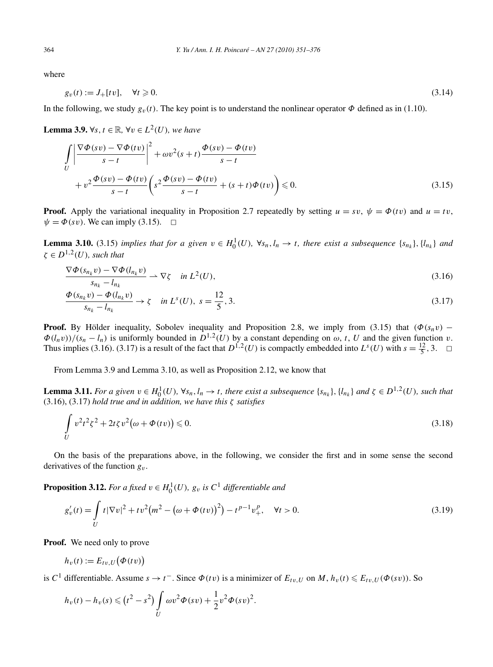where

$$
g_v(t) := J_+[tv], \quad \forall t \geq 0. \tag{3.14}
$$

In the following, we study  $g_v(t)$ . The key point is to understand the nonlinear operator  $\Phi$  defined as in (1.10).

**Lemma 3.9.** ∀*s*,  $t \in \mathbb{R}$ , ∀*v* ∈  $L^2(U)$ *, we have* 

$$
\int_{U} \left| \frac{\nabla \Phi(sv) - \nabla \Phi(tv)}{s - t} \right|^{2} + \omega v^{2}(s + t) \frac{\Phi(sv) - \Phi(tv)}{s - t}
$$
\n
$$
+ v^{2} \frac{\Phi(sv) - \Phi(tv)}{s - t} \left( s^{2} \frac{\Phi(sv) - \Phi(tv)}{s - t} + (s + t) \Phi(tv) \right) \leq 0.
$$
\n(3.15)

**Proof.** Apply the variational inequality in Proposition 2.7 repeatedly by setting  $u = sv$ ,  $\psi = \Phi(tv)$  and  $u = tv$ ,  $\psi = \Phi(sv)$ . We can imply (3.15).  $\Box$ 

**Lemma 3.10.** (3.15) *implies that for a given*  $v \in H_0^1(U)$ ,  $\forall s_n, l_n \to t$ , *there exist a subsequence*  $\{s_{n_k}\}, \{l_{n_k}\}\$  *and*  $\zeta \in D^{1,2}(U)$ *, such that* 

$$
\frac{\nabla \Phi(s_{n_k} v) - \nabla \Phi(l_{n_k} v)}{s_{n_k} - l_{n_k}} \rightharpoonup \nabla \zeta \quad \text{in } L^2(U),
$$
\n(3.16)

$$
\frac{\Phi(s_{n_k}v) - \Phi(l_{n_k}v)}{s_{n_k} - l_{n_k}} \to \zeta \quad \text{in } L^s(U), \ s = \frac{12}{5}, 3. \tag{3.17}
$$

**Proof.** By Hölder inequality, Sobolev inequality and Proposition 2.8, we imply from (3.15) that  $(\Phi(s_n v)$  −  $\Phi(l_n v)/(s_n - l_n)$  is uniformly bounded in  $D^{1,2}(U)$  by a constant depending on  $\omega$ , *t*, *U* and the given function *v*. Thus implies (3.16). (3.17) is a result of the fact that  $D^{1,2}(U)$  is compactly embedded into  $L^s(U)$  with  $s = \frac{12}{5}$ , 3.  $\Box$ 

From Lemma 3.9 and Lemma 3.10, as well as Proposition 2.12, we know that

**Lemma 3.11.** For a given  $v \in H_0^1(U)$ ,  $\forall s_n, l_n \to t$ , there exist a subsequence  $\{s_{n_k}\}, \{l_{n_k}\}\$  and  $\zeta \in D^{1,2}(U)$ , such that (3.16), (3.17) *hold true and in addition, we have this ζ satisfies*

$$
\int\limits_U v^2 t^2 \zeta^2 + 2t \zeta v^2 \big(\omega + \Phi(tv)\big) \leqslant 0. \tag{3.18}
$$

On the basis of the preparations above, in the following, we consider the first and in some sense the second derivatives of the function  $g_y$ .

**Proposition 3.12.** *For a fixed*  $v \in H_0^1(U)$ *,*  $g_v$  *is*  $C^1$  *differentiable and* 

$$
g'_v(t) = \int\limits_U t |\nabla v|^2 + tv^2 \big(m^2 - \big(\omega + \Phi(tv)\big)^2\big) - t^{p-1} v_+^p, \quad \forall t > 0.
$$
\n(3.19)

**Proof.** We need only to prove

$$
h_v(t) := E_{tv,U}\big(\Phi(tv)\big)
$$

is *C*<sup>1</sup> differentiable. Assume  $s \to t^-$ . Since  $\Phi(tv)$  is a minimizer of  $E_{tv,U}$  on  $M$ ,  $h_v(t) \leq E_{tv,U}(\Phi(sv))$ . So

$$
h_v(t) - h_v(s) \le (t^2 - s^2) \int\limits_U \omega v^2 \Phi(sv) + \frac{1}{2} v^2 \Phi(sv)^2.
$$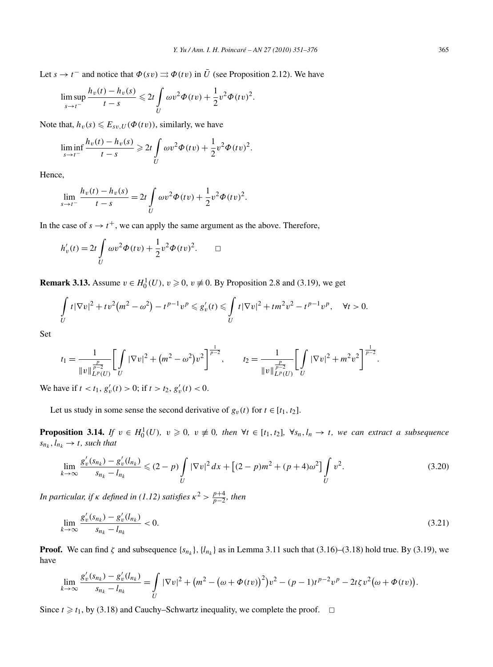Let  $s \to t^-$  and notice that  $\Phi(sv) \rightrightarrows \Phi(tv)$  in  $\overline{U}$  (see Proposition 2.12). We have

$$
\limsup_{s \to t^-} \frac{h_v(t) - h_v(s)}{t - s} \leq 2t \int_U \omega v^2 \Phi(tv) + \frac{1}{2} v^2 \Phi(tv)^2.
$$

Note that,  $h_v(s) \leq E_{sv,U}(\Phi(tv))$ , similarly, we have

$$
\liminf_{s \to t^{-}} \frac{h_v(t) - h_v(s)}{t - s} \geq 2t \int_U \omega v^2 \Phi(tv) + \frac{1}{2} v^2 \Phi(tv)^2.
$$

Hence,

$$
\lim_{s \to t^{-}} \frac{h_v(t) - h_v(s)}{t - s} = 2t \int_U \omega v^2 \Phi(tv) + \frac{1}{2} v^2 \Phi(tv)^2.
$$

In the case of  $s \rightarrow t^+$ , we can apply the same argument as the above. Therefore,

$$
h'_v(t) = 2t \int\limits_U \omega v^2 \Phi(tv) + \frac{1}{2} v^2 \Phi(tv)^2.
$$

**Remark 3.13.** Assume  $v \in H_0^1(U)$ ,  $v \ge 0$ ,  $v \ne 0$ . By Proposition 2.8 and (3.19), we get

$$
\int_{U} t |\nabla v|^{2} + tv^{2} (m^{2} - \omega^{2}) - t^{p-1} v^{p} \leq g'_{v}(t) \leq \int_{U} t |\nabla v|^{2} + t m^{2} v^{2} - t^{p-1} v^{p}, \quad \forall t > 0.
$$

Set

$$
t_1 = \frac{1}{\|v\|_{L^p(U)}^{\frac{p}{p-2}}} \left[ \int\limits_U |\nabla v|^2 + (m^2 - \omega^2) v^2 \right]^{\frac{1}{p-2}}, \qquad t_2 = \frac{1}{\|v\|_{L^p(U)}^{\frac{p}{p-2}}} \left[ \int\limits_U |\nabla v|^2 + m^2 v^2 \right]^{\frac{1}{p-2}}.
$$

We have if  $t < t_1$ ,  $g'_v(t) > 0$ ; if  $t > t_2$ ,  $g'_v(t) < 0$ .

Let us study in some sense the second derivative of  $g_v(t)$  for  $t \in [t_1, t_2]$ .

**Proposition 3.14.** If  $v \in H_0^1(U)$ ,  $v \ge 0$ ,  $v \ne 0$ , then  $\forall t \in [t_1, t_2]$ ,  $\forall s_n, l_n \to t$ , we can extract a subsequence  $s_{n_k}, l_{n_k} \rightarrow t$ *, such that* 

$$
\lim_{k \to \infty} \frac{g_v'(s_{n_k}) - g_v'(l_{n_k})}{s_{n_k} - l_{n_k}} \le (2 - p) \int_U |\nabla v|^2 dx + \left[ (2 - p)m^2 + (p + 4)\omega^2 \right] \int_U v^2. \tag{3.20}
$$

*In particular, if κ defined in* (1.12) satisfies  $\kappa^2 > \frac{p+4}{p-2}$ , then

$$
\lim_{k \to \infty} \frac{g'_v(s_{n_k}) - g'_v(l_{n_k})}{s_{n_k} - l_{n_k}} < 0. \tag{3.21}
$$

**Proof.** We can find  $\zeta$  and subsequence  $\{s_{n_k}\}\$ ,  $\{l_{n_k}\}\$  as in Lemma 3.11 such that (3.16)–(3.18) hold true. By (3.19), we have

$$
\lim_{k\to\infty}\frac{g'_v(s_{n_k})-g'_v(l_{n_k})}{s_{n_k}-l_{n_k}}=\int\limits_U|\nabla v|^2+\big(m^2-\big(\omega+\Phi(tv)\big)^2\big)v^2-(p-1)t^{p-2}v^p-2t\zeta v^2\big(\omega+\Phi(tv)\big).
$$

Since  $t \geq t_1$ , by (3.18) and Cauchy–Schwartz inequality, we complete the proof.  $\Box$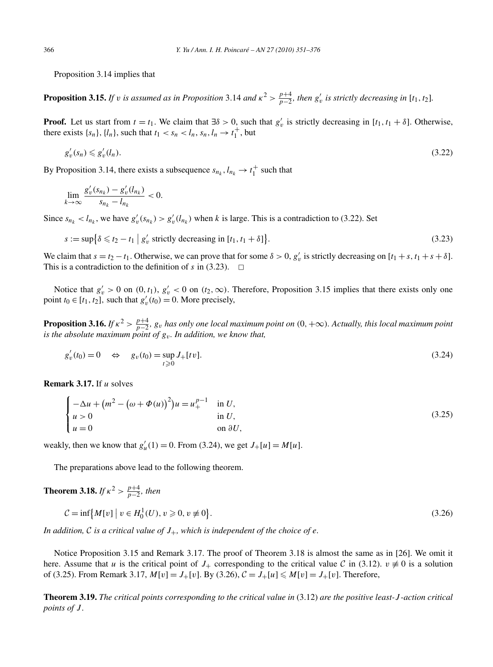Proposition 3.14 implies that

**Proposition 3.15.** If v is assumed as in Proposition 3.14 and  $\kappa^2 > \frac{p+4}{p-2}$ , then  $g'_v$  is strictly decreasing in [t<sub>1</sub>, t<sub>2</sub>].

**Proof.** Let us start from  $t = t_1$ . We claim that  $\exists \delta > 0$ , such that  $g'_v$  is strictly decreasing in [ $t_1, t_1 + \delta$ ]. Otherwise, there exists  $\{s_n\}$ ,  $\{l_n\}$ , such that  $t_1 < s_n < l_n$ ,  $s_n$ ,  $l_n \to t_1^+$ , but

$$
g'_v(s_n) \leqslant g'_v(l_n). \tag{3.22}
$$

By Proposition 3.14, there exists a subsequence  $s_{n_k}$ ,  $l_{n_k} \rightarrow t_1^+$  such that

$$
\lim_{k \to \infty} \frac{g'_v(s_{n_k}) - g'_v(l_{n_k})}{s_{n_k} - l_{n_k}} < 0.
$$

Since  $s_{n_k} < l_{n_k}$ , we have  $g'_v(s_{n_k}) > g'_v(l_{n_k})$  when *k* is large. This is a contradiction to (3.22). Set

$$
s := \sup \{ \delta \le t_2 - t_1 \mid g'_v \text{ strictly decreasing in } [t_1, t_1 + \delta] \}. \tag{3.23}
$$

We claim that  $s = t_2 - t_1$ . Otherwise, we can prove that for some  $\delta > 0$ ,  $g'_v$  is strictly decreasing on  $[t_1 + s, t_1 + s + \delta]$ . This is a contradiction to the definition of  $s$  in (3.23).  $\Box$ 

Notice that  $g'_v > 0$  on  $(0, t_1)$ ,  $g'_v < 0$  on  $(t_2, \infty)$ . Therefore, Proposition 3.15 implies that there exists only one point  $t_0 \in [t_1, t_2]$ , such that  $g'_v(t_0) = 0$ . More precisely,

**Proposition 3.16.** If  $\kappa^2 > \frac{p+4}{p-2}$ ,  $g_v$  has only one local maximum point on  $(0, +\infty)$ . Actually, this local maximum point *is the absolute maximum point of*  $g_v$ *. In addition, we know that,* 

$$
g'_v(t_0) = 0 \quad \Leftrightarrow \quad g_v(t_0) = \sup_{t \ge 0} J_+[tv]. \tag{3.24}
$$

**Remark 3.17.** If *u* solves

$$
\begin{cases}\n-\Delta u + (m^2 - (\omega + \Phi(u))^2)u = u_+^{p-1} & \text{in } U, \\
u > 0 & \text{in } U, \\
u = 0 & \text{on } \partial U,\n\end{cases}
$$
\n(3.25)

weakly, then we know that  $g'_u(1) = 0$ . From (3.24), we get  $J_+[u] = M[u]$ .

The preparations above lead to the following theorem.

**Theorem 3.18.** *If*  $\kappa^2 > \frac{p+4}{p-2}$ *, then* 

$$
C = \inf \{ M[v] \mid v \in H_0^1(U), v \ge 0, v \ne 0 \}.
$$
\n(3.26)

*In addition,* C *is a critical value of*  $J_+$ *, which is independent of the choice of e.* 

Notice Proposition 3.15 and Remark 3.17. The proof of Theorem 3.18 is almost the same as in [26]. We omit it here. Assume that *u* is the critical point of *J*<sub>+</sub> corresponding to the critical value C in (3.12). *v*  $\not\equiv$  0 is a solution of (3.25). From Remark 3.17,  $M[v] = J_{+}[v]$ . By (3.26),  $C = J_{+}[u] \le M[v] = J_{+}[v]$ . Therefore,

**Theorem 3.19.** *The critical points corresponding to the critical value in* (3.12) *are the positive least-J -action critical points of J .*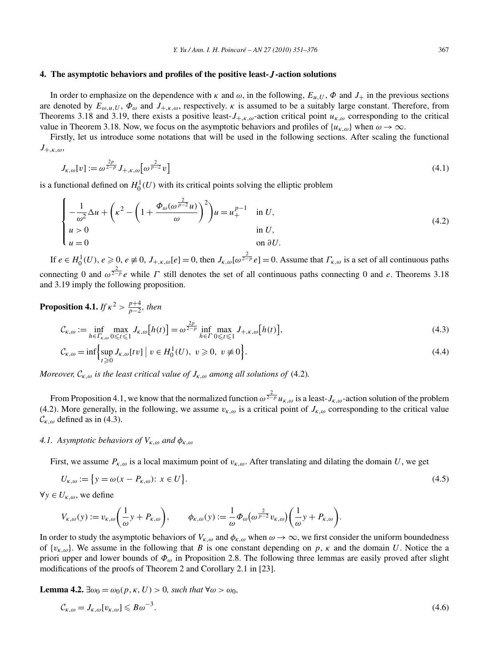#### **4. The asymptotic behaviors and profiles of the positive least-***J* **-action solutions**

In order to emphasize on the dependence with  $\kappa$  and  $\omega$ , in the following,  $E_{u,U}$ ,  $\Phi$  and  $J_+$  in the previous sections are denoted by  $E_{\omega,u,U}$ ,  $\Phi_{\omega}$  and  $J_{+,\kappa,\omega}$ , respectively.  $\kappa$  is assumed to be a suitably large constant. Therefore, from Theorems 3.18 and 3.19, there exists a positive least- $J_{+,k,\omega}$ -action critical point  $u_{k,\omega}$  corresponding to the critical value in Theorem 3.18. Now, we focus on the asymptotic behaviors and profiles of  $\{u_{\kappa,\omega}\}\$  when  $\omega \to \infty$ .

Firstly, let us introduce some notations that will be used in the following sections. After scaling the functional *J*+*,κ,ω*,

$$
J_{\kappa,\omega}[v] := \omega^{\frac{2p}{2-p}} J_{+,\kappa,\omega} \left[\omega^{\frac{2}{p-2}} v\right]
$$
\n(4.1)

is a functional defined on  $H_0^1(U)$  with its critical points solving the elliptic problem

$$
\begin{cases}\n-\frac{1}{\omega^2} \Delta u + \left(\kappa^2 - \left(1 + \frac{\Phi_\omega(\omega^{\frac{2}{p-2}} u)}{\omega}\right)^2\right) u = u_+^{p-1} & \text{in } U, \\
u > 0 & \text{in } U, \\
u = 0 & \text{on } \partial U.\n\end{cases}
$$
\n(4.2)

If  $e \in H_0^1(U)$ ,  $e \ge 0$ ,  $e \ne 0$ ,  $J_{+, \kappa, \omega}[e] = 0$ , then  $J_{\kappa, \omega}[\omega^{\frac{2}{2-p}} e] = 0$ . Assume that  $\Gamma_{\kappa, \omega}$  is a set of all continuous paths connecting 0 and  $\omega^{\frac{2}{2-p}}e$  while *Γ* still denotes the set of all continuous paths connecting 0 and *e*. Theorems 3.18 and 3.19 imply the following proposition.

**Proposition 4.1.** *If*  $\kappa^2 > \frac{p+4}{p-2}$ *, then* 

$$
\mathcal{C}_{\kappa,\omega} := \inf_{h \in \Gamma_{\kappa,\omega}} \max_{0 \le t \le 1} J_{\kappa,\omega}[h(t)] = \omega^{\frac{2p}{2-p}} \inf_{h \in \Gamma} \max_{0 \le t \le 1} J_{+,\kappa,\omega}[h(t)],
$$
\n(4.3)

$$
\mathcal{C}_{\kappa,\omega} = \inf \Biggl\{ \sup_{t \geq 0} J_{\kappa,\omega}[tv] \; \Big| \; v \in H_0^1(U), \; v \geq 0, \; v \neq 0 \Biggr\}. \tag{4.4}
$$

*Moreover,*  $\mathcal{C}_{K,\omega}$  *is the least critical value of*  $J_{K,\omega}$  *among all solutions of* (4.2).

From Proposition 4.1, we know that the normalized function  $\omega^{\frac{2}{2-p}}u_{\kappa,\omega}$  is a least- $J_{\kappa,\omega}$ -action solution of the problem (4.2). More generally, in the following, we assume  $v_{k,\omega}$  is a critical point of  $J_{k,\omega}$  corresponding to the critical value  $\mathcal{C}_{K,\omega}$  defined as in (4.3).

### *4.1. Asymptotic behaviors of Vκ,ω and φκ,ω*

First, we assume  $P_{k,\omega}$  is a local maximum point of  $v_{k,\omega}$ . After translating and dilating the domain *U*, we get

$$
U_{\kappa,\omega} := \{ y = \omega(x - P_{\kappa,\omega}) : x \in U \}.
$$
\n(4.5)

 $∀y ∈ U_{K, ω}$ , we define

$$
V_{\kappa,\omega}(y) := v_{\kappa,\omega}\bigg(\frac{1}{\omega}y + P_{\kappa,\omega}\bigg), \qquad \phi_{\kappa,\omega}(y) := \frac{1}{\omega}\Phi_{\omega}\bigg(\omega^{\frac{2}{p-2}}v_{\kappa,\omega}\bigg)\bigg(\frac{1}{\omega}y + P_{\kappa,\omega}\bigg).
$$

In order to study the asymptotic behaviors of  $V_{k,\omega}$  and  $\phi_{k,\omega}$  when  $\omega \to \infty$ , we first consider the uniform boundedness of  $\{v_{k,\omega}\}\$ . We assume in the following that *B* is one constant depending on *p*, *κ* and the domain *U*. Notice the a priori upper and lower bounds of *Φω* in Proposition 2.8. The following three lemmas are easily proved after slight modifications of the proofs of Theorem 2 and Corollary 2.1 in [23].

**Lemma 4.2.**  $\exists \omega_0 = \omega_0(p, \kappa, U) > 0$ , such that  $\forall \omega > \omega_0$ 

$$
\mathcal{C}_{\kappa,\omega} = J_{\kappa,\omega}[v_{\kappa,\omega}] \leqslant B\omega^{-3}.\tag{4.6}
$$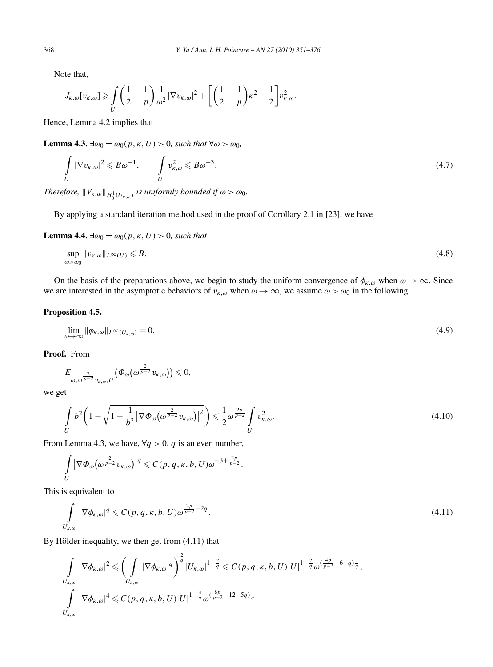Note that,

$$
J_{\kappa,\omega}[v_{\kappa,\omega}] \geq \int\limits_U \left(\frac{1}{2}-\frac{1}{p}\right)\frac{1}{\omega^2}|\nabla v_{\kappa,\omega}|^2 + \left[\left(\frac{1}{2}-\frac{1}{p}\right)\kappa^2 - \frac{1}{2}\right]v_{\kappa,\omega}^2.
$$

Hence, Lemma 4.2 implies that

**Lemma 4.3.**  $\exists \omega_0 = \omega_0(p, \kappa, U) > 0$ , such that  $\forall \omega > \omega_0$ ,

$$
\int_{U} |\nabla v_{\kappa,\omega}|^2 \leq B\omega^{-1}, \qquad \int_{U} v_{\kappa,\omega}^2 \leq B\omega^{-3}.
$$
\n(4.7)

*Therefore,*  $||V_{\kappa,\omega}||_{H_0^1(U_{\kappa,\omega})}$  *is uniformly bounded if*  $\omega > \omega_0$ *.* 

By applying a standard iteration method used in the proof of Corollary 2.1 in [23], we have

**Lemma 4.4.**  $\exists \omega_0 = \omega_0(p, \kappa, U) > 0$ *, such that* 

$$
\sup_{\omega > \omega_0} \|v_{\kappa,\omega}\|_{L^\infty(U)} \le B. \tag{4.8}
$$

On the basis of the preparations above, we begin to study the uniform convergence of  $\phi_{\kappa,\omega}$  when  $\omega \to \infty$ . Since we are interested in the asymptotic behaviors of  $v_{k,\omega}$  when  $\omega \to \infty$ , we assume  $\omega > \omega_0$  in the following.

# **Proposition 4.5.**

$$
\lim_{\omega \to \infty} \|\phi_{\kappa,\omega}\|_{L^{\infty}(U_{\kappa,\omega})} = 0. \tag{4.9}
$$

**Proof.** From

$$
E_{\omega,\omega^{\frac{2}{p-2}}v_{\kappa,\omega},U}\big(\varPhi_{\omega}\big(\omega^{\frac{2}{p-2}}v_{\kappa,\omega}\big)\big)\leqslant 0,
$$

we get

$$
\int\limits_{U} b^2 \left(1 - \sqrt{1 - \frac{1}{b^2} |\nabla \Phi_{\omega}(\omega^{\frac{2}{p-2}} v_{\kappa,\omega})|^2} \right) \leq \frac{1}{2} \omega^{\frac{2p}{p-2}} \int\limits_{U} v_{\kappa,\omega}^2.
$$
\n(4.10)

From Lemma 4.3, we have,  $\forall q > 0$ , *q* is an even number,

$$
\int\limits_{U} |\nabla \Phi_{\omega}(\omega^{\frac{2}{p-2}} v_{\kappa,\omega})|^q \leqslant C(p,q,\kappa,b,U)\omega^{-3+\frac{2p}{p-2}}.
$$

This is equivalent to

$$
\int\limits_{U_{\kappa,\omega}} |\nabla \phi_{\kappa,\omega}|^q \leqslant C(p,q,\kappa,b,U)\omega^{\frac{2p}{p-2}-2q}.
$$
\n(4.11)

By Hölder inequality, we then get from (4.11) that

$$
\int_{U_{\kappa,\omega}} |\nabla \phi_{\kappa,\omega}|^2 \leq \left(\int_{U_{\kappa,\omega}} |\nabla \phi_{\kappa,\omega}|^q \right)^{\frac{2}{q}} |U_{\kappa,\omega}|^{1-\frac{2}{q}} \leq C(p,q,\kappa,b,U)|U|^{1-\frac{2}{q}} \omega^{\left(\frac{4p}{p-2}-6-q\right)\frac{1}{q}},
$$
  

$$
\int_{U_{\kappa,\omega}} |\nabla \phi_{\kappa,\omega}|^4 \leq C(p,q,\kappa,b,U)|U|^{1-\frac{4}{q}} \omega^{\left(\frac{8p}{p-2}-12-5q\right)\frac{1}{q}}.
$$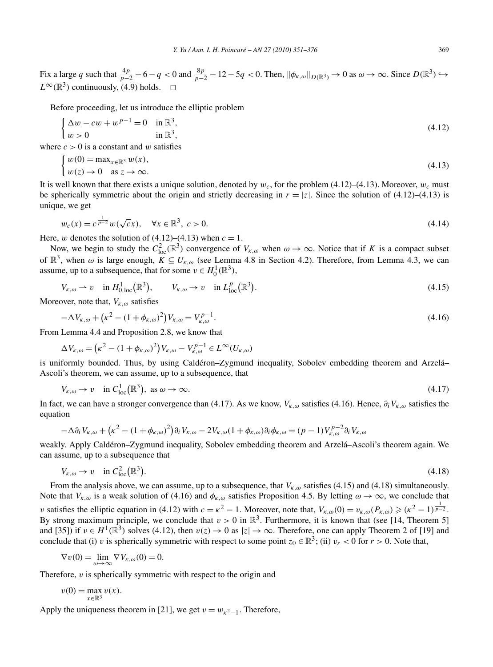Fix a large *q* such that  $\frac{4p}{p-2} - 6 - q < 0$  and  $\frac{8p}{p-2} - 12 - 5q < 0$ . Then,  $\|\phi_{\kappa,\omega}\|_{D(\mathbb{R}^3)} \to 0$  as  $\omega \to \infty$ . Since  $D(\mathbb{R}^3) \to 0$  $L^{\infty}(\mathbb{R}^3)$  continuously, (4.9) holds.  $\Box$ 

Before proceeding, let us introduce the elliptic problem

$$
\begin{cases} \Delta w - cw + w^{p-1} = 0 & \text{in } \mathbb{R}^3, \\ w > 0 & \text{in } \mathbb{R}^3, \end{cases}
$$
\n(4.12)

where  $c > 0$  is a constant and *w* satisfies

$$
\begin{cases} w(0) = \max_{x \in \mathbb{R}^3} w(x), \\ w(z) \to 0 \quad \text{as } z \to \infty. \end{cases} \tag{4.13}
$$

It is well known that there exists a unique solution, denoted by  $w_c$ , for the problem (4.12)–(4.13). Moreover,  $w_c$  must be spherically symmetric about the origin and strictly decreasing in  $r = |z|$ . Since the solution of (4.12)–(4.13) is unique, we get

$$
w_c(x) = c^{\frac{1}{p-2}} w(\sqrt{c}x), \quad \forall x \in \mathbb{R}^3, \ c > 0.
$$
 (4.14)

Here, *w* denotes the solution of  $(4.12)$ – $(4.13)$  when  $c = 1$ .

Now, we begin to study the  $C_{\text{loc}}^2(\mathbb{R}^3)$  convergence of  $V_{\kappa,\omega}$  when  $\omega \to \infty$ . Notice that if *K* is a compact subset of  $\mathbb{R}^3$ , when  $\omega$  is large enough,  $K \subseteq U_{\kappa,\omega}$  (see Lemma 4.8 in Section 4.2). Therefore, from Lemma 4.3, we can assume, up to a subsequence, that for some  $v \in H_0^1(\mathbb{R}^3)$ ,

$$
V_{\kappa,\omega} \rightharpoonup v \quad \text{in } H^1_{0,\text{loc}}(\mathbb{R}^3), \qquad V_{\kappa,\omega} \to v \quad \text{in } L^p_{\text{loc}}(\mathbb{R}^3). \tag{4.15}
$$

Moreover, note that, *Vκ,ω* satisfies

$$
-\Delta V_{\kappa,\omega} + \left(\kappa^2 - (1 + \phi_{\kappa,\omega})^2\right) V_{\kappa,\omega} = V_{\kappa,\omega}^{p-1}.
$$
\n(4.16)

From Lemma 4.4 and Proposition 2.8, we know that

$$
\Delta V_{\kappa,\omega} = (\kappa^2 - (1 + \phi_{\kappa,\omega})^2) V_{\kappa,\omega} - V_{\kappa,\omega}^{p-1} \in L^{\infty}(U_{\kappa,\omega})
$$

is uniformly bounded. Thus, by using Caldéron–Zygmund inequality, Sobolev embedding theorem and Arzelá– Ascoli's theorem, we can assume, up to a subsequence, that

$$
V_{\kappa,\omega} \to v \quad \text{in } C^1_{loc}(\mathbb{R}^3), \text{ as } \omega \to \infty. \tag{4.17}
$$

In fact, we can have a stronger convergence than (4.17). As we know, *Vκ,ω* satisfies (4.16). Hence, *∂iVκ,ω* satisfies the equation

$$
-\Delta \partial_i V_{\kappa,\omega} + \left(\kappa^2 - (1 + \phi_{\kappa,\omega})^2\right) \partial_i V_{\kappa,\omega} - 2V_{\kappa,\omega} (1 + \phi_{\kappa,\omega}) \partial_i \phi_{\kappa,\omega} = (p-1) V_{\kappa,\omega}^{p-2} \partial_i V_{\kappa,\omega}
$$

weakly. Apply Caldéron–Zygmund inequality, Sobolev embedding theorem and Arzelá–Ascoli's theorem again. We can assume, up to a subsequence that

$$
V_{\kappa,\omega} \to v \quad \text{in } C^2_{\text{loc}}(\mathbb{R}^3). \tag{4.18}
$$

From the analysis above, we can assume, up to a subsequence, that *Vκ,ω* satisfies (4.15) and (4.18) simultaneously. Note that  $V_{\kappa,\omega}$  is a weak solution of (4.16) and  $\phi_{\kappa,\omega}$  satisfies Proposition 4.5. By letting  $\omega \to \infty$ , we conclude that *v* satisfies the elliptic equation in (4.12) with  $c = \kappa^2 - 1$ . Moreover, note that,  $V_{\kappa,\omega}(0) = v_{\kappa,\omega}(P_{\kappa,\omega}) \ge (\kappa^2 - 1)^{\frac{1}{p-2}}$ . By strong maximum principle, we conclude that  $v > 0$  in  $\mathbb{R}^3$ . Furthermore, it is known that (see [14, Theorem 5] and [35]) if  $v \in H^1(\mathbb{R}^3)$  solves (4.12), then  $v(z) \to 0$  as  $|z| \to \infty$ . Therefore, one can apply Theorem 2 of [19] and conclude that (i) *v* is spherically symmetric with respect to some point  $z_0 \in \mathbb{R}^3$ ; (ii)  $v_r < 0$  for  $r > 0$ . Note that,

$$
\nabla v(0) = \lim_{\omega \to \infty} \nabla V_{\kappa,\omega}(0) = 0.
$$

Therefore, *v* is spherically symmetric with respect to the origin and

$$
v(0) = \max_{x \in \mathbb{R}^3} v(x).
$$

Apply the uniqueness theorem in [21], we get  $v = w_{\kappa^2-1}$ . Therefore,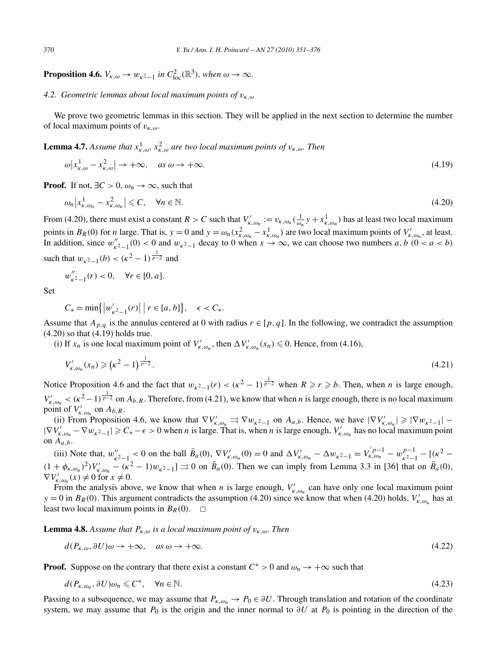**Proposition 4.6.**  $V_{\kappa,\omega} \to w_{\kappa^2-1}$  *in*  $C^2_{\text{loc}}(\mathbb{R}^3)$ *, when*  $\omega \to \infty$ *.* 

# *4.2. Geometric lemmas about local maximum points of vκ,ω*

We prove two geometric lemmas in this section. They will be applied in the next section to determine the number of local maximum points of *vκ,ω*.

**Lemma 4.7.** *Assume that*  $x_{k,\omega}^1$ ,  $x_{k,\omega}^2$  are two local maximum points of  $v_{k,\omega}$ . Then

$$
\omega \left| x_{k,\omega}^1 - x_{k,\omega}^2 \right| \to +\infty, \quad \text{as } \omega \to +\infty. \tag{4.19}
$$

**Proof.** If not,  $\exists C > 0$ ,  $\omega_n \to \infty$ , such that

$$
\omega_n \left| x_{\kappa, \omega_n}^1 - x_{\kappa, \omega_n}^2 \right| \leqslant C, \quad \forall n \in \mathbb{N}.\tag{4.20}
$$

From (4.20), there must exist a constant  $R > C$  such that  $V'_{\kappa,\omega_n} := v_{\kappa,\omega_n}(\frac{1}{\omega_n}y + x_{\kappa,\omega_n}^1)$  has at least two local maximum points in  $B_R(0)$  for *n* large. That is,  $y = 0$  and  $y = \omega_n (x_{\kappa,\omega_n}^2 - x_{\kappa,\omega_n}^1)$  are two local maximum points of  $V'_{\kappa,\omega_n}$ , at least. In addition, since  $w_{k^2-1}''(0) < 0$  and  $w_{k^2-1}$  decay to 0 when  $x \to \infty$ , we can choose two numbers  $a, b \ (0 < a < b)$ such that  $w_{\kappa^2-1}(b) < (\kappa^2-1)^{\frac{1}{p-2}}$  and

$$
w''_{\kappa^2 - 1}(r) < 0, \quad \forall r \in [0, a].
$$

Set

$$
C_* = \min\{|w'_{k^2-1}(r)| \mid r \in [a, b]\}, \quad \epsilon < C_*.
$$

Assume that  $A_{p,q}$  is the annulus centered at 0 with radius  $r \in [p,q]$ . In the following, we contradict the assumption (4.20) so that (4.19) holds true.

(i) If  $x_n$  is one local maximum point of  $V'_{\kappa,\omega_n}$ , then  $\Delta V'_{\kappa,\omega_n}(x_n) \leq 0$ . Hence, from (4.16),

$$
V'_{\kappa,\omega_n}(x_n) \geqslant \left(\kappa^2 - 1\right)^{\frac{1}{p-2}}.\tag{4.21}
$$

Notice Proposition 4.6 and the fact that  $w_{\kappa^2-1}(r) < (\kappa^2-1)^{\frac{1}{p-2}}$  when  $R \ge r \ge b$ . Then, when *n* is large enough,  $V'_{\kappa,\omega_n} < (\kappa^2 - 1)^{\frac{1}{p-2}}$  on  $A_{b,R}$ . Therefore, from (4.21), we know that when *n* is large enough, there is no local maximum point of  $V'_{\kappa,\omega_n}$  on  $A_{b,R}$ .

(ii) From Proposition 4.6, we know that  $\nabla V'_{\kappa,\omega_n} \rightrightarrows \nabla w_{\kappa^2-1}$  on  $A_{a,b}$ . Hence, we have  $|\nabla V'_{\kappa,\omega_n}| \ge |\nabla w_{\kappa^2-1}|$  $|\nabla V'_{\kappa,\omega_n} - \nabla w_{\kappa^2-1}| \geqslant C_* - \epsilon > 0$  when *n* is large. That is, when *n* is large enough,  $V'_{\kappa,\omega_n}$  has no local maximum point on  $A_{a,b}$ .

(iii) Note that,  $w_{\kappa^2-1}''$  < 0 on the ball  $\bar{B}_a(0)$ ,  $\nabla V_{\kappa,\omega_n}(0) = 0$  and  $\Delta V_{\kappa,\omega_n} - \Delta w_{\kappa^2-1} = V_{\kappa,\omega_n}^{'p-1} - w_{\kappa^2-1}^{p-1} - [( \kappa^2 (1 + \phi_{\kappa, \omega_n})^2 V'_{\kappa, \omega_n} - (\kappa^2 - 1)w_{\kappa^2 - 1} \Rightarrow 0$  on  $\bar{B}_a(0)$ . Then we can imply from Lemma 3.3 in [36] that on  $\bar{B}_a(0)$ ,  $\nabla V'_{\kappa,\omega_n}(x) \neq 0$  for  $x \neq 0$ .

From the analysis above, we know that when *n* is large enough,  $V'_{k,\omega_n}$  can have only one local maximum point  $y = 0$  in  $B_R(0)$ . This argument contradicts the assumption (4.20) since we know that when (4.20) holds,  $V'_{k, \omega_n}$  has at least two local maximum points in  $B_R(0)$ .  $\Box$ 

**Lemma 4.8.** *Assume that*  $P_{K,\omega}$  *is a local maximum point of*  $v_{K,\omega}$ *. Then* 

$$
d(P_{\kappa,\omega},\partial U)\omega \to +\infty, \quad \text{as } \omega \to +\infty. \tag{4.22}
$$

**Proof.** Suppose on the contrary that there exist a constant  $C^* > 0$  and  $\omega_n \to +\infty$  such that

$$
d(P_{\kappa,\omega_n},\partial U)\omega_n \leqslant C^*, \quad \forall n \in \mathbb{N}.\tag{4.23}
$$

Passing to a subsequence, we may assume that  $P_{k,\omega_n} \to P_0 \in \partial U$ . Through translation and rotation of the coordinate system, we may assume that  $P_0$  is the origin and the inner normal to  $\partial U$  at  $P_0$  is pointing in the direction of the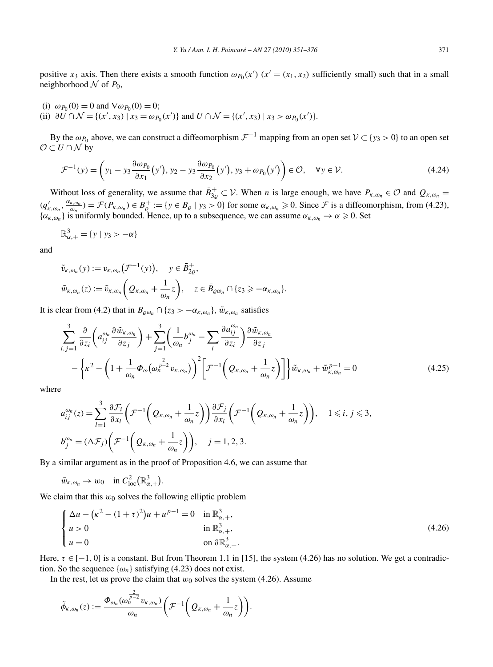positive *x*<sub>3</sub> axis. Then there exists a smooth function  $\omega_{P_0}(x')$  ( $x' = (x_1, x_2)$  sufficiently small) such that in a small neighborhood  $\mathcal N$  of  $P_0$ ,

- (i)  $\omega_{P_0}(0) = 0$  and  $\nabla \omega_{P_0}(0) = 0$ ;
- (ii)  $\partial U \cap \mathcal{N} = \{(x', x_3) | x_3 = \omega_{P_0}(x')\}$  and  $U \cap \mathcal{N} = \{(x', x_3) | x_3 > \omega_{P_0}(x')\}.$

By the  $\omega_{P_0}$  above, we can construct a diffeomorphism  $\mathcal{F}^{-1}$  mapping from an open set  $\mathcal{V} \subset \{y_3 > 0\}$  to an open set  $\mathcal{O} \subset U \cap \mathcal{N}$  by

$$
\mathcal{F}^{-1}(y) = \left(y_1 - y_3 \frac{\partial \omega_{P_0}}{\partial x_1}(y'), y_2 - y_3 \frac{\partial \omega_{P_0}}{\partial x_2}(y'), y_3 + \omega_{P_0}(y')\right) \in \mathcal{O}, \quad \forall y \in \mathcal{V}.
$$
 (4.24)

Without loss of generality, we assume that  $\bar{B}_{3g}^+ \subset V$ . When *n* is large enough, we have  $P_{\kappa,\omega_n} \in \mathcal{O}$  and  $Q_{\kappa,\omega_n} =$  $(q'_{\kappa,\omega_n}, \frac{\alpha_{\kappa,\omega_n}}{\omega_n}) = \mathcal{F}(P_{\kappa,\omega_n}) \in B_{\mathcal{Q}}^+ := \{y \in B_{\mathcal{Q}} \mid y_3 > 0\}$  for some  $\alpha_{\kappa,\omega_n} \geq 0$ . Since  $\mathcal{F}$  is a diffeomorphism, from (4.23),  $\{\alpha_{\kappa,\omega_n}\}\$ is uniformly bounded. Hence, up to a subsequence, we can assume  $\alpha_{\kappa,\omega_n}\to\alpha\geq 0$ . Set

$$
\mathbb{R}^3_{\alpha,+} = \{ y \mid y_3 > -\alpha \}
$$

and

$$
\tilde{v}_{\kappa,\omega_n}(y) := v_{\kappa,\omega_n}(\mathcal{F}^{-1}(y)), \quad y \in \bar{B}_{2\varrho}^+,
$$
\n
$$
\tilde{w}_{\kappa,\omega_n}(z) := \tilde{v}_{\kappa,\omega_n}(\mathcal{Q}_{\kappa,\omega_n} + \frac{1}{\omega_n}z), \quad z \in \bar{B}_{\varrho\omega_n} \cap \{z_3 \geq -\alpha_{\kappa,\omega_n}\}.
$$

It is clear from (4.2) that in  $B_{\rho\omega_n} \cap \{z_3 > -\alpha_{\kappa,\omega_n}\}\$ ,  $\tilde{w}_{\kappa,\omega_n}$  satisfies

$$
\sum_{i,j=1}^{3} \frac{\partial}{\partial z_i} \left( a_{ij}^{\omega_n} \frac{\partial \tilde{w}_{\kappa,\omega_n}}{\partial z_j} \right) + \sum_{j=1}^{3} \left( \frac{1}{\omega_n} b_j^{\omega_n} - \sum_i \frac{\partial a_{ij}^{\omega_n}}{\partial z_i} \right) \frac{\partial \tilde{w}_{\kappa,\omega_n}}{\partial z_j} \n- \left\{ \kappa^2 - \left( 1 + \frac{1}{\omega_n} \Phi_{\omega} (\omega_n^{\frac{2}{p-2}} v_{\kappa,\omega_n}) \right)^2 \left[ \mathcal{F}^{-1} \left( \mathcal{Q}_{\kappa,\omega_n} + \frac{1}{\omega_n} z \right) \right] \right\} \tilde{w}_{\kappa,\omega_n} + \tilde{w}_{\kappa,\omega_n}^{p-1} = 0
$$
\n(4.25)

where

$$
a_{ij}^{\omega_n}(z) = \sum_{l=1}^3 \frac{\partial \mathcal{F}_i}{\partial x_l} \left( \mathcal{F}^{-1} \left( \mathcal{Q}_{\kappa,\omega_n} + \frac{1}{\omega_n} z \right) \right) \frac{\partial \mathcal{F}_j}{\partial x_l} \left( \mathcal{F}^{-1} \left( \mathcal{Q}_{\kappa,\omega_n} + \frac{1}{\omega_n} z \right) \right), \quad 1 \le i, j \le 3,
$$
  

$$
b_j^{\omega_n} = (\Delta \mathcal{F}_j) \left( \mathcal{F}^{-1} \left( \mathcal{Q}_{\kappa,\omega_n} + \frac{1}{\omega_n} z \right) \right), \quad j = 1, 2, 3.
$$

By a similar argument as in the proof of Proposition 4.6, we can assume that

$$
\tilde{w}_{\kappa,\omega_n} \to w_0
$$
 in  $C^2_{loc}(\mathbb{R}^3_{\alpha,+})$ .

We claim that this  $w_0$  solves the following elliptic problem

$$
\begin{cases} \Delta u - (\kappa^2 - (1+\tau)^2)u + u^{p-1} = 0 & \text{in } \mathbb{R}^3_{\alpha,+}, \\ u > 0 & \text{in } \mathbb{R}^3_{\alpha,+}, \\ u = 0 & \text{on } \partial \mathbb{R}^3_{\alpha,+}. \end{cases}
$$
(4.26)

Here,  $\tau \in [-1, 0]$  is a constant. But from Theorem 1.1 in [15], the system (4.26) has no solution. We get a contradiction. So the sequence  $\{\omega_n\}$  satisfying (4.23) does not exist.

In the rest, let us prove the claim that  $w_0$  solves the system (4.26). Assume

$$
\tilde{\phi}_{\kappa,\omega_n}(z) := \frac{\Phi_{\omega_n}(\omega_n^{\frac{2}{p-2}} v_{\kappa,\omega_n})}{\omega_n} \bigg(\mathcal{F}^{-1}\bigg(Q_{\kappa,\omega_n} + \frac{1}{\omega_n}z\bigg)\bigg).
$$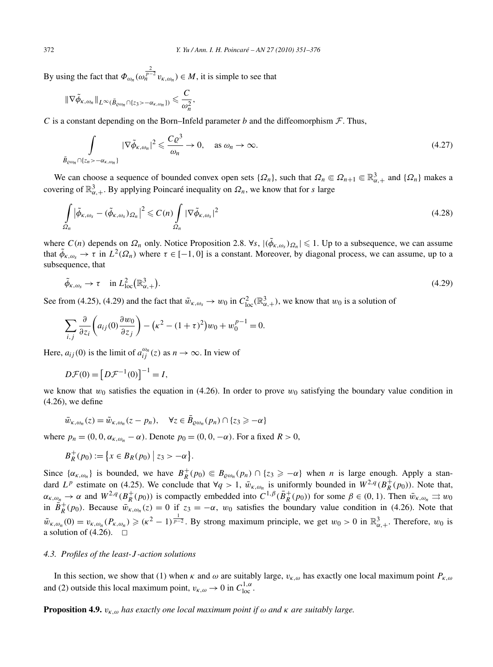By using the fact that  $\Phi_{\omega_n}(\omega_n^{\frac{2}{p-2}} v_{\kappa,\omega_n}) \in M$ , it is simple to see that

$$
\|\nabla \widetilde{\phi}_{\kappa,\omega_n}\|_{L^{\infty}(\bar{B}_{\varrho\omega_n}\cap\{z_3>-\alpha_{\kappa,\omega_n}\})}\leqslant \frac{C}{\omega_n^2},
$$

*C* is a constant depending on the Born–Infeld parameter *b* and the diffeomorphism  $\mathcal{F}$ . Thus,

$$
\int_{\bar{B}_{\varrho\omega_n} \cap \{z_n > -\alpha_{\kappa,\omega_n}\}} |\nabla \tilde{\phi}_{\kappa,\omega_n}|^2 \leqslant \frac{C\varrho^3}{\omega_n} \to 0, \quad \text{as } \omega_n \to \infty.
$$
\n(4.27)

We can choose a sequence of bounded convex open sets  $\{\Omega_n\}$ , such that  $\Omega_n \in \Omega_{n+1} \in \mathbb{R}^3_{\alpha,+}$  and  $\{\Omega_n\}$  makes a covering of  $\mathbb{R}^3_{\alpha,+}$ . By applying Poincaré inequality on  $\Omega_n$ , we know that for *s* large

$$
\int_{\Omega_n} |\tilde{\phi}_{\kappa,\omega_s} - (\tilde{\phi}_{\kappa,\omega_s})_{\Omega_n}|^2 \leqslant C(n) \int_{\Omega_n} |\nabla \tilde{\phi}_{\kappa,\omega_s}|^2 \tag{4.28}
$$

where  $C(n)$  depends on  $\Omega_n$  only. Notice Proposition 2.8.  $\forall s, |(\phi_{\kappa,\omega_s})_{\Omega_n}| \leq 1$ . Up to a subsequence, we can assume that  $\tilde{\phi}_{\kappa,\omega_s} \to \tau$  in  $L^2(\Omega_n)$  where  $\tau \in [-1,0]$  is a constant. Moreover, by diagonal process, we can assume, up to a subsequence, that

$$
\tilde{\phi}_{\kappa,\omega_s} \to \tau \quad \text{in } L^2_{\text{loc}}(\mathbb{R}^3_{\alpha,+}).
$$
\n(4.29)

See from (4.25), (4.29) and the fact that  $\tilde{w}_{k,\omega_s} \to w_0$  in  $C^2_{loc}(\mathbb{R}^3_{\alpha,+})$ , we know that  $w_0$  is a solution of

$$
\sum_{i,j} \frac{\partial}{\partial z_i} \left( a_{ij}(0) \frac{\partial w_0}{\partial z_j} \right) - \left( \kappa^2 - (1+\tau)^2 \right) w_0 + w_0^{p-1} = 0.
$$

Here,  $a_{ij}(0)$  is the limit of  $a_{ij}^{\omega_n}(z)$  as  $n \to \infty$ . In view of

$$
D\mathcal{F}(0) = \left[D\mathcal{F}^{-1}(0)\right]^{-1} = I,
$$

we know that  $w_0$  satisfies the equation in (4.26). In order to prove  $w_0$  satisfying the boundary value condition in (4.26), we define

$$
\bar{w}_{\kappa,\omega_n}(z) = \tilde{w}_{\kappa,\omega_n}(z - p_n), \quad \forall z \in \bar{B}_{\varrho,\omega_n}(p_n) \cap \{z_3 \geq -\alpha\}
$$

where  $p_n = (0, 0, \alpha_{K, \omega_n} - \alpha)$ . Denote  $p_0 = (0, 0, -\alpha)$ . For a fixed  $R > 0$ ,

$$
B_R^+(p_0) := \{ x \in B_R(p_0) \mid z_3 > -\alpha \}.
$$

Since  $\{\alpha_{\kappa,\omega_n}\}\$ is bounded, we have  $B_R^+(p_0) \in B_{\varrho\omega_n}(p_n) \cap \{z_3 \geq -\alpha\}$  when *n* is large enough. Apply a standard *L<sup>p</sup>* estimate on (4.25). We conclude that  $\forall q > 1$ ,  $\bar{w}_{k,\omega_n}$  is uniformly bounded in  $W^{2,q}(B_R^+(p_0))$ . Note that,  $\alpha_{\kappa,\omega_n} \to \alpha$  and  $W^{2,q}(B_R^+(p_0))$  is compactly embedded into  $C^{1,\beta}(\bar{B}_R^+(p_0))$  for some  $\beta \in (0,1)$ . Then  $\bar{w}_{\kappa,\omega_n} \rightrightarrows w_0$ in  $B_R^+(p_0)$ . Because  $\overline{w}_{k,\omega_n}(z) = 0$  if  $z_3 = -\alpha$ ,  $w_0$  satisfies the boundary value condition in (4.26). Note that  $\tilde{w}_{\kappa,\omega_n}(0) = v_{\kappa,\omega_n}(P_{\kappa,\omega_n}) \geqslant (\kappa^2 - 1)^{\frac{1}{p-2}}$ . By strong maximum principle, we get  $w_0 > 0$  in  $\mathbb{R}^3_{\alpha,+}$ . Therefore,  $w_0$  is a solution of (4.26).  $\Box$ 

## *4.3. Profiles of the least-J -action solutions*

In this section, we show that (1) when  $\kappa$  and  $\omega$  are suitably large,  $v_{\kappa,\omega}$  has exactly one local maximum point  $P_{\kappa,\omega}$ and (2) outside this local maximum point,  $v_{k,\omega} \to 0$  in  $C_{loc}^{1,\alpha}$ .

**Proposition 4.9.** *vκ,ω has exactly one local maximum point if ω and κ are suitably large.*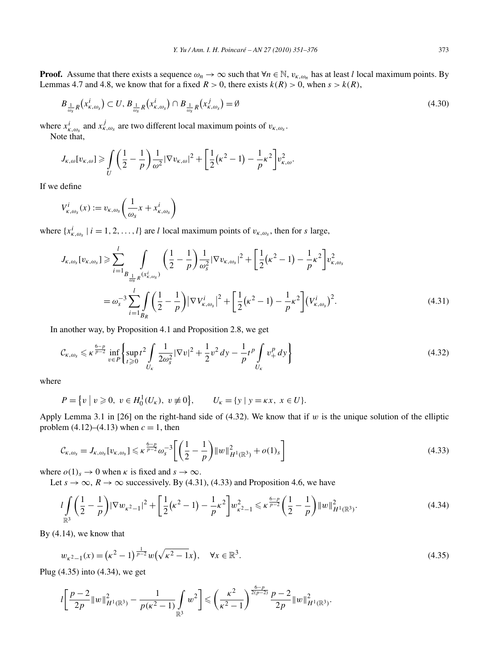**Proof.** Assume that there exists a sequence  $\omega_n \to \infty$  such that  $\forall n \in \mathbb{N}$ ,  $v_{k,\omega_n}$  has at least *l* local maximum points. By Lemmas 4.7 and 4.8, we know that for a fixed  $R > 0$ , there exists  $k(R) > 0$ , when  $s > k(R)$ ,

$$
B_{\frac{1}{\omega_s}R}\left(x_{\kappa,\omega_s}^i\right) \subset U, B_{\frac{1}{\omega_s}R}\left(x_{\kappa,\omega_s}^i\right) \cap B_{\frac{1}{\omega_s}R}\left(x_{\kappa,\omega_s}^j\right) = \emptyset
$$
\n
$$
(4.30)
$$

where  $x_{k, \omega_s}^i$  and  $x_{k, \omega_s}^j$  are two different local maximum points of  $v_{k, \omega_s}$ . Note that,

$$
J_{\kappa,\omega}[v_{\kappa,\omega}] \ge \int\limits_U \left(\frac{1}{2} - \frac{1}{p}\right) \frac{1}{\omega^2} |\nabla v_{\kappa,\omega}|^2 + \left[\frac{1}{2}(\kappa^2 - 1) - \frac{1}{p}\kappa^2\right] v_{\kappa,\omega}^2.
$$

If we define

$$
V_{\kappa,\omega_s}^i(x) := v_{\kappa,\omega_s} \bigg( \frac{1}{\omega_s} x + x_{\kappa,\omega_s}^i \bigg)
$$

where  $\{x_{\kappa,\omega_s}^i | i = 1, 2, ..., l\}$  are *l* local maximum points of  $v_{\kappa,\omega_s}$ , then for *s* large,

$$
J_{\kappa,\omega_{s}}[v_{\kappa,\omega_{s}}] \geqslant \sum_{i=1}^{l} \int_{B_{\frac{1}{\omega_{s}}R}(x_{\kappa,\omega_{s}}^{i})} \left(\frac{1}{2} - \frac{1}{p}\right) \frac{1}{\omega_{s}^{2}} |\nabla v_{\kappa,\omega_{s}}|^{2} + \left[\frac{1}{2}(\kappa^{2} - 1) - \frac{1}{p}\kappa^{2}\right] v_{\kappa,\omega_{s}}^{2}
$$

$$
= \omega_{s}^{-3} \sum_{i=1}^{l} \int_{B_{R}} \left(\frac{1}{2} - \frac{1}{p}\right) |\nabla V_{\kappa,\omega_{s}}^{i}|^{2} + \left[\frac{1}{2}(\kappa^{2} - 1) - \frac{1}{p}\kappa^{2}\right] (V_{\kappa,\omega_{s}}^{i})^{2}.
$$
(4.31)

In another way, by Proposition 4.1 and Proposition 2.8, we get

$$
\mathcal{C}_{\kappa,\omega_s} \leqslant \kappa^{\frac{6-p}{p-2}} \inf_{v \in P} \left\{ \sup_{t \geqslant 0} t^2 \int\limits_{U_{\kappa}} \frac{1}{2\omega_s^2} |\nabla v|^2 + \frac{1}{2} v^2 \, dy - \frac{1}{p} t^p \int\limits_{U_{\kappa}} v_+^p \, dv \right\} \tag{4.32}
$$

where

$$
P = \{v \mid v \ge 0, \ v \in H_0^1(U_\kappa), \ v \ne 0\}, \qquad U_\kappa = \{y \mid y = \kappa x, \ x \in U\}.
$$

Apply Lemma 3.1 in [26] on the right-hand side of  $(4.32)$ . We know that if *w* is the unique solution of the elliptic problem  $(4.12)$ – $(4.13)$  when  $c = 1$ , then

$$
\mathcal{C}_{\kappa,\omega_s} = J_{\kappa,\omega_s} [v_{\kappa,\omega_s}] \leqslant \kappa^{\frac{6-p}{p-2}} \omega_s^{-3} \left[ \left( \frac{1}{2} - \frac{1}{p} \right) \|w\|_{H^1(\mathbb{R}^3)}^2 + o(1)_s \right]
$$
\n(4.33)

where  $o(1)_s \to 0$  when  $\kappa$  is fixed and  $s \to \infty$ .

Let  $s \to \infty$ ,  $R \to \infty$  successively. By (4.31), (4.33) and Proposition 4.6, we have

$$
l\int_{\mathbb{R}^3} \left(\frac{1}{2} - \frac{1}{p}\right) |\nabla w_{\kappa^2 - 1}|^2 + \left[\frac{1}{2}(\kappa^2 - 1) - \frac{1}{p}\kappa^2\right] w_{\kappa^2 - 1}^2 \le \kappa^{\frac{6-p}{p-2}} \left(\frac{1}{2} - \frac{1}{p}\right) \|w\|_{H^1(\mathbb{R}^3)}^2.
$$
\n(4.34)

By (4.14), we know that

$$
w_{\kappa^2 - 1}(x) = (\kappa^2 - 1)^{\frac{1}{p-2}} w(\sqrt{\kappa^2 - 1}x), \quad \forall x \in \mathbb{R}^3.
$$
 (4.35)

Plug (4.35) into (4.34), we get

$$
l\left[\frac{p-2}{2p}\|w\|_{H^1(\mathbb{R}^3)}^2 - \frac{1}{p(k^2-1)}\int\limits_{\mathbb{R}^3} w^2\right] \leqslant \left(\frac{k^2}{k^2-1}\right)^{\frac{6-p}{2(p-2)}} \frac{p-2}{2p} \|w\|_{H^1(\mathbb{R}^3)}^2.
$$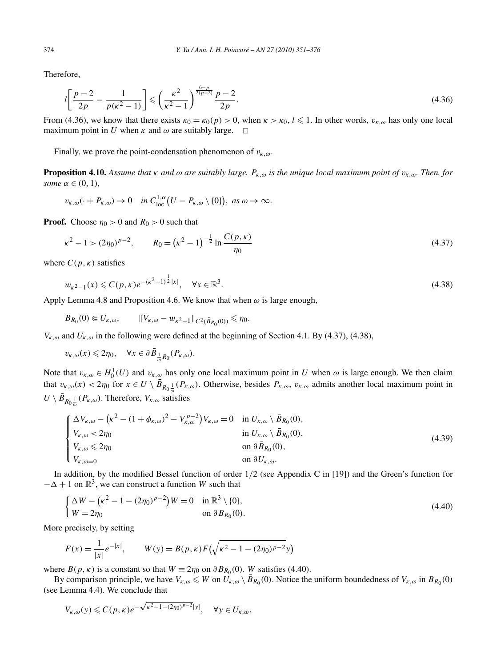Therefore,

$$
l\left[\frac{p-2}{2p} - \frac{1}{p(k^2-1)}\right] \leqslant \left(\frac{k^2}{k^2-1}\right)^{\frac{6-p}{2(p-2)}} \frac{p-2}{2p}.\tag{4.36}
$$

From (4.36), we know that there exists  $\kappa_0 = \kappa_0(p) > 0$ , when  $\kappa > \kappa_0$ ,  $l \leq 1$ . In other words,  $v_{\kappa,\omega}$  has only one local maximum point in *U* when  $\kappa$  and  $\omega$  are suitably large.  $\Box$ 

Finally, we prove the point-condensation phenomenon of *vκ,ω*.

**Proposition 4.10.** *Assume that*  $\kappa$  *and*  $\omega$  *are suitably large.*  $P_{\kappa,\omega}$  *is the unique local maximum point of*  $v_{\kappa,\omega}$ *. Then, for some*  $\alpha \in (0, 1)$ *,* 

$$
v_{\kappa,\omega}(\cdot + P_{\kappa,\omega}) \to 0 \quad \text{in } C^{1,\alpha}_{loc}(U - P_{\kappa,\omega} \setminus \{0\}), \text{ as } \omega \to \infty.
$$

**Proof.** Choose  $\eta_0 > 0$  and  $R_0 > 0$  such that

$$
\kappa^2 - 1 > (2\eta_0)^{p-2}, \qquad R_0 = \left(\kappa^2 - 1\right)^{-\frac{1}{2}} \ln \frac{C(p, \kappa)}{\eta_0}
$$
\n(4.37)

where  $C(p, \kappa)$  satisfies

$$
w_{\kappa^2 - 1}(x) \leqslant C(p, \kappa) e^{-(\kappa^2 - 1)^{\frac{1}{2}} |x|}, \quad \forall x \in \mathbb{R}^3.
$$
\n
$$
(4.38)
$$

Apply Lemma 4.8 and Proposition 4.6. We know that when *ω* is large enough,

$$
B_{R_0}(0) \Subset U_{\kappa,\omega}, \qquad ||V_{\kappa,\omega} - w_{\kappa^2 - 1}||_{C^2(\bar{B}_{R_0}(0))} \le \eta_0.
$$

 $V_{\kappa,\omega}$  and  $U_{\kappa,\omega}$  in the following were defined at the beginning of Section 4.1. By (4.37), (4.38),

 $v_{\kappa,\omega}(x) \leq 2\eta_0$ ,  $\forall x \in \partial \bar{B}_{\frac{1}{\omega}R_0}(P_{\kappa,\omega}).$ 

Note that  $v_{\kappa,\omega} \in H_0^1(U)$  and  $v_{\kappa,\omega}$  has only one local maximum point in *U* when  $\omega$  is large enough. We then claim that  $v_{\kappa,\omega}(x) < 2\eta_0$  for  $x \in U \setminus \overline{B}_{R_0\frac{1}{\omega}}(P_{\kappa,\omega})$ . Otherwise, besides  $P_{\kappa,\omega}$ ,  $v_{\kappa,\omega}$  admits another local maximum point in  $U \setminus \bar{B}_{R_0 \frac{1}{\omega}}(P_{\kappa,\omega})$ . Therefore,  $V_{\kappa,\omega}$  satisfies

$$
\begin{cases}\n\Delta V_{\kappa,\omega} - (\kappa^2 - (1 + \phi_{\kappa,\omega})^2 - V_{\kappa,\omega}^{p-2})V_{\kappa,\omega} = 0 & \text{in } U_{\kappa,\omega} \setminus \bar{B}_{R_0}(0), \\
V_{\kappa,\omega} < 2\eta_0 & \text{in } U_{\kappa,\omega} \setminus \bar{B}_{R_0}(0), \\
V_{\kappa,\omega} \leq 2\eta_0 & \text{on } \partial \bar{B}_{R_0}(0), \\
V_{\kappa,\omega=0} & \text{on } \partial U_{\kappa,\omega}.\n\end{cases} \tag{4.39}
$$

In addition, by the modified Bessel function of order  $1/2$  (see Appendix C in [19]) and the Green's function for  $-\Delta + 1$  on  $\mathbb{R}^3$ , we can construct a function *W* such that

$$
\begin{cases} \Delta W - (\kappa^2 - 1 - (2\eta_0)^{p-2})W = 0 & \text{in } \mathbb{R}^3 \setminus \{0\}, \\ W = 2\eta_0 & \text{on } \partial B_{R_0}(0). \end{cases}
$$
\n(4.40)

More precisely, by setting

$$
F(x) = \frac{1}{|x|} e^{-|x|}, \qquad W(y) = B(p, \kappa) F(\sqrt{\kappa^2 - 1 - (2\eta_0)^{p-2}} y)
$$

where  $B(p, \kappa)$  is a constant so that  $W \equiv 2\eta_0$  on  $\partial B_{R_0}(0)$ . *W* satisfies (4.40).

By comparison principle, we have  $V_{\kappa,\omega} \leq W$  on  $U_{\kappa,\omega} \setminus \bar{B}_{R_0}(0)$ . Notice the uniform boundedness of  $V_{\kappa,\omega}$  in  $B_{R_0}(0)$ (see Lemma 4.4). We conclude that

$$
V_{\kappa,\omega}(y) \leqslant C(p,\kappa)e^{-\sqrt{\kappa^2-1-(2\eta_0)^{p-2}}|y|}, \quad \forall y \in U_{\kappa,\omega}.
$$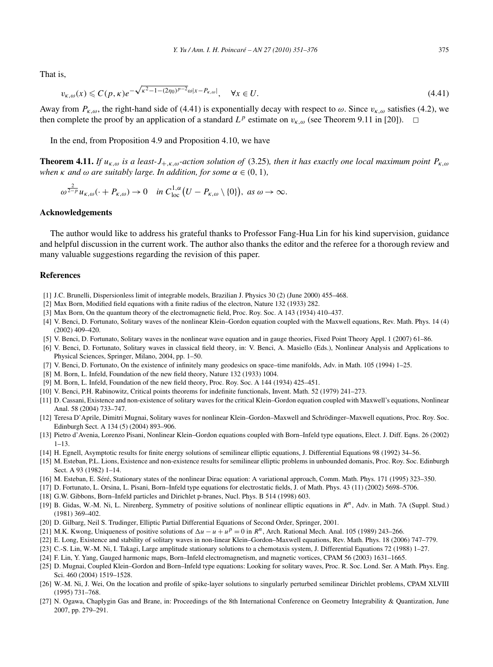That is,

$$
v_{\kappa,\omega}(x) \leq C(p,\kappa)e^{-\sqrt{\kappa^2 - 1 - (2\eta_0)^{p-2}}\omega|x - P_{\kappa,\omega}|}, \quad \forall x \in U.
$$
\n(4.41)

Away from  $P_{k,\omega}$ , the right-hand side of (4.41) is exponentially decay with respect to  $\omega$ . Since  $v_{k,\omega}$  satisfies (4.2), we then complete the proof by an application of a standard  $L^p$  estimate on  $v_{k,\omega}$  (see Theorem 9.11 in [20]).  $\Box$ 

In the end, from Proposition 4.9 and Proposition 4.10, we have

**Theorem 4.11.** *If uκ,ω is a least-J*+*,κ,ω-action solution of* (3.25)*, then it has exactly one local maximum point Pκ,ω when*  $\kappa$  *and*  $\omega$  *are suitably large. In addition, for some*  $\alpha \in (0, 1)$ *,* 

$$
\omega^{\frac{2}{2-p}}u_{\kappa,\omega}(\cdot+P_{\kappa,\omega})\to 0 \quad \text{in } C^{1,\alpha}_{loc}(U-P_{\kappa,\omega}\setminus\{0\}), \text{ as } \omega\to\infty.
$$

#### **Acknowledgements**

The author would like to address his grateful thanks to Professor Fang-Hua Lin for his kind supervision, guidance and helpful discussion in the current work. The author also thanks the editor and the referee for a thorough review and many valuable suggestions regarding the revision of this paper.

## **References**

- [1] J.C. Brunelli, Dispersionless limit of integrable models, Brazilian J. Physics 30 (2) (June 2000) 455–468.
- [2] Max Born, Modified field equations with a finite radius of the electron, Nature 132 (1933) 282.
- [3] Max Born, On the quantum theory of the electromagnetic field, Proc. Roy. Soc. A 143 (1934) 410–437.
- [4] V. Benci, D. Fortunato, Solitary waves of the nonlinear Klein–Gordon equation coupled with the Maxwell equations, Rev. Math. Phys. 14 (4) (2002) 409–420.
- [5] V. Benci, D. Fortunato, Solitary waves in the nonlinear wave equation and in gauge theories, Fixed Point Theory Appl. 1 (2007) 61–86.
- [6] V. Benci, D. Fortunato, Solitary waves in classical field theory, in: V. Benci, A. Masiello (Eds.), Nonlinear Analysis and Applications to Physical Sciences, Springer, Milano, 2004, pp. 1–50.
- [7] V. Benci, D. Fortunato, On the existence of infinitely many geodesics on space–time manifolds, Adv. in Math. 105 (1994) 1–25.
- [8] M. Born, L. Infeld, Foundation of the new field theory, Nature 132 (1933) 1004.
- [9] M. Born, L. Infeld, Foundation of the new field theory, Proc. Roy. Soc. A 144 (1934) 425–451.
- [10] V. Benci, P.H. Rabinowitz, Critical points theorems for indefinite functionals, Invent. Math. 52 (1979) 241–273.
- [11] D. Cassani, Existence and non-existence of solitary waves for the critical Klein–Gordon equation coupled with Maxwell's equations, Nonlinear Anal. 58 (2004) 733–747.
- [12] Teresa D'Aprile, Dimitri Mugnai, Solitary waves for nonlinear Klein–Gordon–Maxwell and Schrödinger–Maxwell equations, Proc. Roy. Soc. Edinburgh Sect. A 134 (5) (2004) 893–906.
- [13] Pietro d'Avenia, Lorenzo Pisani, Nonlinear Klein–Gordon equations coupled with Born–Infeld type equations, Elect. J. Diff. Eqns. 26 (2002) 1–13.
- [14] H. Egnell, Asymptotic results for finite energy solutions of semilinear elliptic equations, J. Differential Equations 98 (1992) 34–56.
- [15] M. Esteban, P.L. Lions, Existence and non-existence results for semilinear elliptic problems in unbounded domanis, Proc. Roy. Soc. Edinburgh Sect. A 93 (1982) 1–14.
- [16] M. Esteban, E. Séré, Stationary states of the nonlinear Dirac equation: A variational approach, Comm. Math. Phys. 171 (1995) 323–350.
- [17] D. Fortunato, L. Orsina, L. Pisani, Born–Infeld type equations for electrostatic fields, J. of Math. Phys. 43 (11) (2002) 5698–5706.
- [18] G.W. Gibbons, Born–Infeld particles and Dirichlet p-branes, Nucl. Phys. B 514 (1998) 603.
- [19] B. Gidas, W.-M. Ni, L. Nirenberg, Symmetry of positive solutions of nonlinear elliptic equations in *Rn*, Adv. in Math. 7A (Suppl. Stud.) (1981) 369–402.
- [20] D. Gilbarg, Neil S. Trudinger, Elliptic Partial Differential Equations of Second Order, Springer, 2001.
- [21] M.K. Kwong, Uniqueness of positive solutions of  $\Delta u u + u^p = 0$  in  $R^n$ , Arch. Rational Mech. Anal. 105 (1989) 243–266.
- [22] E. Long, Existence and stability of solitary waves in non-linear Klein–Gordon–Maxwell equations, Rev. Math. Phys. 18 (2006) 747–779.
- [23] C.-S. Lin, W.-M. Ni, I. Takagi, Large amplitude stationary solutions to a chemotaxis system, J. Differential Equations 72 (1988) 1–27.
- [24] F. Lin, Y. Yang, Gauged harmonic maps, Born–Infeld electromagnetism, and magnetic vortices, CPAM 56 (2003) 1631–1665.
- [25] D. Mugnai, Coupled Klein–Gordon and Born–Infeld type equations: Looking for solitary waves, Proc. R. Soc. Lond. Ser. A Math. Phys. Eng. Sci. 460 (2004) 1519–1528.
- [26] W.-M. Ni, J. Wei, On the location and profile of spike-layer solutions to singularly perturbed semilinear Dirichlet problems, CPAM XLVIII (1995) 731–768.
- [27] N. Ogawa, Chaplygin Gas and Brane, in: Proceedings of the 8th International Conference on Geometry Integrability & Quantization, June 2007, pp. 279–291.